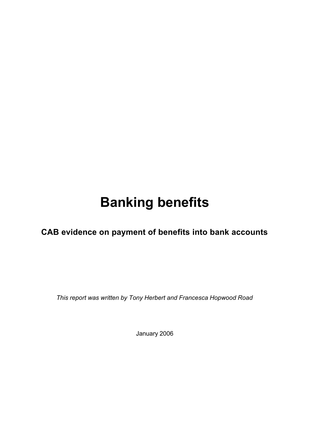# **Banking benefits**

**CAB evidence on payment of benefits into bank accounts**

*This report was written by Tony Herbert and Francesca Hopwood Road*

January 2006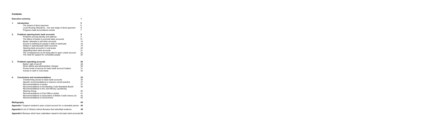# **Contents**

| <b>Executive summary</b><br>1 |                                                                                                                                                                                                                                                                                                                                                                                                                                                             |                                                        |
|-------------------------------|-------------------------------------------------------------------------------------------------------------------------------------------------------------------------------------------------------------------------------------------------------------------------------------------------------------------------------------------------------------------------------------------------------------------------------------------------------------|--------------------------------------------------------|
| 1.                            | Introduction<br>The impact of direct payment<br>Local Housing Allowance – the next stage of direct payment<br>Progress made but problems remain                                                                                                                                                                                                                                                                                                             | 5<br>6<br>6<br>$\overline{7}$                          |
| 2.                            | Problems opening basic bank accounts<br>Problems proving identity and address<br>The failure of banks to promote basic accounts<br>Banks' attempts to sell other accounts<br>Access to banking for people in debt or bankrupts<br>Delays in opening basic bank accounts<br>Opening bank accounts in rural areas<br>Upgrading basic bank accounts<br>The consequences of not being able to open a bank account<br>The need for support for vulnerable people | 9<br>9<br>13<br>14<br>16<br>19<br>20<br>21<br>22<br>24 |
| 3.                            | <b>Problems operating accounts</b><br>Banks' right of set-off<br>Direct debits and administration charges<br>Poorer levels of service for basic bank account holders<br>Access to cash in rural areas                                                                                                                                                                                                                                                       | 26<br>26<br>28<br>31<br>32                             |
| 4.                            | <b>Conclusions and recommendations</b><br>Transforming access to basic bank accounts<br>Specific recommendations to improve current practice<br>Recommendations to banks<br>Recommendations to the Banking Code Standards Board<br>Recommendations to the Joint Money Laundering<br><b>Steering Group</b><br>Recommendations to Post Office Limited<br>Recommendations to Association of British Credit Unions Ltd<br><b>Recommendations to Government</b>  | 35<br>35<br>37<br>37<br>39<br>40<br>41<br>42<br>43     |
|                               | <b>Bibliography</b>                                                                                                                                                                                                                                                                                                                                                                                                                                         | 45                                                     |
|                               | <b>Appendix 1</b> Support needed to open a bank account for a vulnerable person                                                                                                                                                                                                                                                                                                                                                                             | 48                                                     |
|                               | Appendix 2 List of Citizens Advice Bureaux that submitted evidence                                                                                                                                                                                                                                                                                                                                                                                          | 49                                                     |

**Appendix 3** Bureaux which have undertaken research into basic bank accounts **52**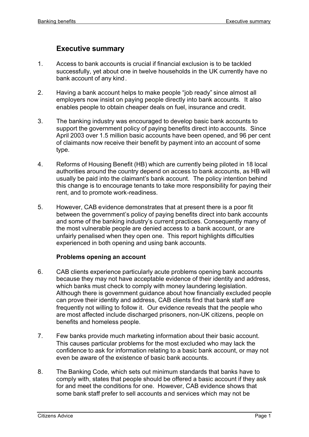# **Executive summary**

- 1. Access to bank accounts is crucial if financial exclusion is to be tackled successfully, yet about one in twelve households in the UK currently have no bank account of any kind.
- 2. Having a bank account helps to make people "job ready" since almost all employers now insist on paying people directly into bank accounts. It also enables people to obtain cheaper deals on fuel, insurance and credit.
- 3. The banking industry was encouraged to develop basic bank accounts to support the government policy of paying benefits direct into accounts. Since April 2003 over 1.5 million basic accounts have been opened, and 96 per cent of claimants now receive their benefit by payment into an account of some type.
- 4. Reforms of Housing Benefit (HB) which are currently being piloted in 18 local authorities around the country depend on access to bank accounts, as HB will usually be paid into the claimant's bank account. The policy intention behind this change is to encourage tenants to take more responsibility for paying their rent, and to promote work-readiness.
- 5. However, CAB evidence demonstrates that at present there is a poor fit between the government's policy of paying benefits direct into bank accounts and some of the banking industry's current practices. Consequently many of the most vulnerable people are denied access to a bank account, or are unfairly penalised when they open one. This report highlights difficulties experienced in both opening and using bank accounts.

#### **Problems opening an account**

- 6. CAB clients experience particularly acute problems opening bank accounts because they may not have acceptable evidence of their identity and address, which banks must check to comply with money laundering legislation. Although there is government guidance about how financially excluded people can prove their identity and address, CAB clients find that bank staff are frequently not willing to follow it. Our evidence reveals that the people who are most affected include discharged prisoners, non-UK citizens, people on benefits and homeless people.
- 7. Few banks provide much marketing information about their basic account. This causes particular problems for the most excluded who may lack the confidence to ask for information relating to a basic bank account, or may not even be aware of the existence of basic bank accounts.
- 8. The Banking Code, which sets out minimum standards that banks have to comply with, states that people should be offered a basic account if they ask for and meet the conditions for one. However, CAB evidence shows that some bank staff prefer to sell accounts and services which may not be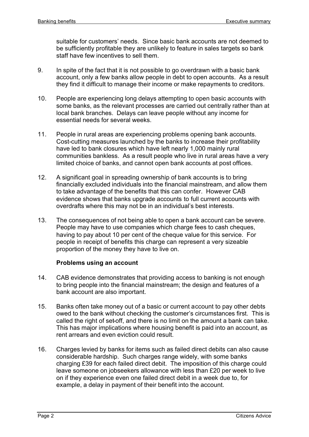suitable for customers' needs. Since basic bank accounts are not deemed to be sufficiently profitable they are unlikely to feature in sales targets so bank staff have few incentives to sell them.

- 9. In spite of the fact that it is not possible to go overdrawn with a basic bank account, only a few banks allow people in debt to open accounts. As a result they find it difficult to manage their income or make repayments to creditors.
- 10. People are experiencing long delays attempting to open basic accounts with some banks, as the relevant processes are carried out centrally rather than at local bank branches. Delays can leave people without any income for essential needs for several weeks.
- 11. People in rural areas are experiencing problems opening bank accounts. Cost-cutting measures launched by the banks to increase their profitability have led to bank closures which have left nearly 1,000 mainly rural communities bankless. As a result people who live in rural areas have a very limited choice of banks, and cannot open bank accounts at post offices.
- 12. A significant goal in spreading ownership of bank accounts is to bring financially excluded individuals into the financial mainstream, and allow them to take advantage of the benefits that this can confer. However CAB evidence shows that banks upgrade accounts to full current accounts with overdrafts where this may not be in an individual's best interests.
- 13. The consequences of not being able to open a bank account can be severe. People may have to use companies which charge fees to cash cheques, having to pay about 10 per cent of the cheque value for this service. For people in receipt of benefits this charge can represent a very sizeable proportion of the money they have to live on.

#### **Problems using an account**

- 14. CAB evidence demonstrates that providing access to banking is not enough to bring people into the financial mainstream; the design and features of a bank account are also important.
- 15. Banks often take money out of a basic or current account to pay other debts owed to the bank without checking the customer's circumstances first. This is called the right of set-off, and there is no limit on the amount a bank can take. This has major implications where housing benefit is paid into an account, as rent arrears and even eviction could result.
- 16. Charges levied by banks for items such as failed direct debits can also cause considerable hardship. Such charges range widely, with some banks charging £39 for each failed direct debit. The imposition of this charge could leave someone on jobseekers allowance with less than £20 per week to live on if they experience even one failed direct debit in a week due to, for example, a delay in payment of their benefit into the account.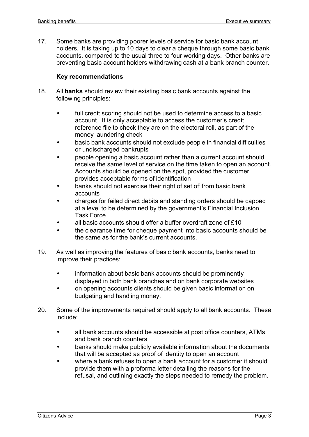17. Some banks are providing poorer levels of service for basic bank account holders. It is taking up to 10 days to clear a cheque through some basic bank accounts, compared to the usual three to four working days. Other banks are preventing basic account holders withdrawing cash at a bank branch counter.

# **Key recommendations**

- 18. All **banks** should review their existing basic bank accounts against the following principles:
	- full credit scoring should not be used to determine access to a basic account. It is only acceptable to access the customer's credit reference file to check they are on the electoral roll, as part of the money laundering check
	- basic bank accounts should not exclude people in financial difficulties or undischarged bankrupts
	- people opening a basic account rather than a current account should receive the same level of service on the time taken to open an account. Accounts should be opened on the spot, provided the customer provides acceptable forms of identification
	- banks should not exercise their right of set off from basic bank accounts
	- charges for failed direct debits and standing orders should be capped at a level to be determined by the government's Financial Inclusion Task Force
	- all basic accounts should offer a buffer overdraft zone of £10
	- the clearance time for cheque payment into basic accounts should be the same as for the bank's current accounts.
- 19. As well as improving the features of basic bank accounts, banks need to improve their practices:
	- information about basic bank accounts should be prominently displayed in both bank branches and on bank corporate websites
	- on opening accounts clients should be given basic information on budgeting and handling money.
- 20. Some of the improvements required should apply to all bank accounts. These include:
	- all bank accounts should be accessible at post office counters, ATMs and bank branch counters
	- banks should make publicly available information about the documents that will be accepted as proof of identity to open an account
	- where a bank refuses to open a bank account for a customer it should provide them with a proforma letter detailing the reasons for the refusal, and outlining exactly the steps needed to remedy the problem.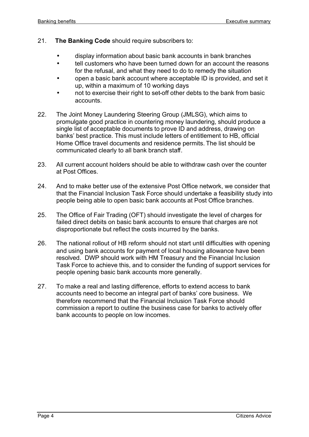- 21. **The Banking Code** should require subscribers to:
	- display information about basic bank accounts in bank branches
	- tell customers who have been turned down for an account the reasons for the refusal, and what they need to do to remedy the situation
	- open a basic bank account where acceptable ID is provided, and set it up, within a maximum of 10 working days
	- not to exercise their right to set-off other debts to the bank from basic accounts.
- 22. The Joint Money Laundering Steering Group (JMLSG), which aims to promulgate good practice in countering money laundering, should produce a single list of acceptable documents to prove ID and address, drawing on banks' best practice. This must include letters of entitlement to HB, official Home Office travel documents and residence permits. The list should be communicated clearly to all bank branch staff.
- 23. All current account holders should be able to withdraw cash over the counter at Post Offices.
- 24. And to make better use of the extensive Post Office network, we consider that that the Financial Inclusion Task Force should undertake a feasibility study into people being able to open basic bank accounts at Post Office branches.
- 25. The Office of Fair Trading (OFT) should investigate the level of charges for failed direct debits on basic bank accounts to ensure that charges are not disproportionate but reflect the costs incurred by the banks.
- 26. The national rollout of HB reform should not start until difficulties with opening and using bank accounts for payment of local housing allowance have been resolved. DWP should work with HM Treasury and the Financial Inclusion Task Force to achieve this, and to consider the funding of support services for people opening basic bank accounts more generally.
- 27. To make a real and lasting difference, efforts to extend access to bank accounts need to become an integral part of banks' core business. We therefore recommend that the Financial Inclusion Task Force should commission a report to outline the business case for banks to actively offer bank accounts to people on low incomes.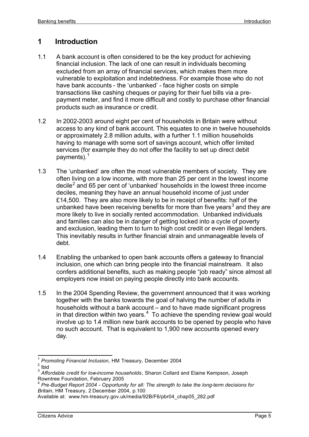# **1 Introduction**

- 1.1 A bank account is often considered to be the key product for achieving financial inclusion. The lack of one can result in individuals becoming excluded from an array of financial services, which makes them more vulnerable to exploitation and indebtedness. For example those who do not have bank accounts - the 'unbanked' - face higher costs on simple transactions like cashing cheques or paying for their fuel bills via a prepayment meter, and find it more difficult and costly to purchase other financial products such as insurance or credit.
- 1.2 In 2002-2003 around eight per cent of households in Britain were without access to any kind of bank account. This equates to one in twelve households or approximately 2.8 million adults, with a further 1.1 million households having to manage with some sort of savings account, which offer limited services (for example they do not offer the facility to set up direct debit payments).<sup>1</sup>
- 1.3 The 'unbanked' are often the most vulnerable members of society. They are often living on a low income, with more than 25 per cent in the lowest income decile<sup>2</sup> and 65 per cent of 'unbanked' households in the lowest three income deciles, meaning they have an annual household income of just under £14,500. They are also more likely to be in receipt of benefits: half of the unbanked have been receiving benefits for more than five years<sup>3</sup> and they are more likely to live in socially rented accommodation. Unbanked individuals and families can also be in danger of getting locked into a cycle of poverty and exclusion, leading them to turn to high cost credit or even illegal lenders. This inevitably results in further financial strain and unmanageable levels of debt.
- 1.4 Enabling the unbanked to open bank accounts offers a gateway to financial inclusion, one which can bring people into the financial mainstream. It also confers additional benefits, such as making people "job ready" since almost all employers now insist on paying people directly into bank accounts.
- 1.5 In the 2004 Spending Review, the government announced that it was working together with the banks towards the goal of halving the number of adults in households without a bank account – and to have made significant progress in that direction within two years. $4$  To achieve the spending review goal would involve up to 1.4 million new bank accounts to be opened by people who have no such account. That is equivalent to 1,900 new accounts opened every day.

 $\overline{\phantom{a}}$ 1 *Promoting Financial Inclusion*, HM Treasury, December 2004

 $2$  Ibid

<sup>3</sup> *Affordable credit for low-income households*, Sharon Collard and Elaine Kempson, Joseph Rowntree Foundation, February 2005

<sup>4</sup> *Pre-Budget Report 2004 - Opportunity for all: The strength to take the long-term decisions for Britain*, HM Treasury, 2 December 2004, p.100

Available at: www.hm-treasury.gov.uk/media/92B/F6/pbr04\_chap05\_282.pdf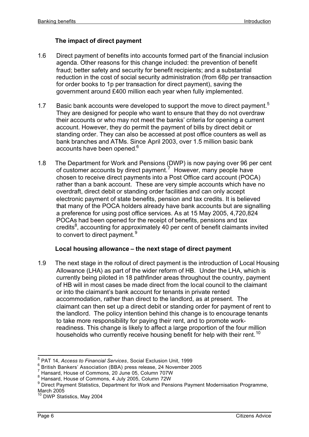# **The impact of direct payment**

- 1.6 Direct payment of benefits into accounts formed part of the financial inclusion agenda. Other reasons for this change included: the prevention of benefit fraud; better safety and security for benefit recipients; and a substantial reduction in the cost of social security administration (from 68p per transaction for order books to 1p per transaction for direct payment), saving the government around £400 million each year when fully implemented.
- 1.7 Basic bank accounts were developed to support the move to direct payment.<sup>5</sup> They are designed for people who want to ensure that they do not overdraw their accounts or who may not meet the banks' criteria for opening a current account. However, they do permit the payment of bills by direct debit or standing order. They can also be accessed at post office counters as well as bank branches and ATMs. Since April 2003, over 1.5 million basic bank accounts have been opened.<sup>6</sup>
- 1.8 The Department for Work and Pensions (DWP) is now paying over 96 per cent of customer accounts by direct payment.<sup>7</sup> However, many people have chosen to receive direct payments into a Post Office card account (POCA) rather than a bank account. These are very simple accounts which have no overdraft, direct debit or standing order facilities and can only accept electronic payment of state benefits, pension and tax credits. It is believed that many of the POCA holders already have bank accounts but are signalling a preference for using post office services. As at 15 May 2005, 4,720,824 POCAs had been opened for the receipt of benefits, pensions and tax credits<sup>8</sup>, accounting for approximately 40 per cent of benefit claimants invited to convert to direct payment.<sup>9</sup>

#### **Local housing allowance – the next stage of direct payment**

1.9 The next stage in the rollout of direct payment is the introduction of Local Housing Allowance (LHA) as part of the wider reform of HB. Under the LHA, which is currently being piloted in 18 pathfinder areas throughout the country, payment of HB will in most cases be made direct from the local council to the claimant or into the claimant's bank account for tenants in private rented accommodation, rather than direct to the landlord, as at present. The claimant can then set up a direct debit or standing order for payment of rent to the landlord. The policy intention behind this change is to encourage tenants to take more responsibility for paying their rent, and to promote workreadiness. This change is likely to affect a large proportion of the four million households who currently receive housing benefit for help with their rent.<sup>10</sup>

 $\overline{\phantom{a}}$ 5 PAT 14, *Access to Financial Services*, Social Exclusion Unit, 1999

 $\frac{6}{5}$  British Bankers' Association (BBA) press release, 24 November 2005

 $7$  Hansard, House of Commons, 20 June 05, Column 707W

<sup>8</sup> Hansard, House of Commons, 4 July 2005, Column 72W

<sup>&</sup>lt;sup>9</sup> Direct Payment Statistics, Department for Work and Pensions Payment Modernisation Programme, March 2005

 $^{0}$  DWP Statistics, May 2004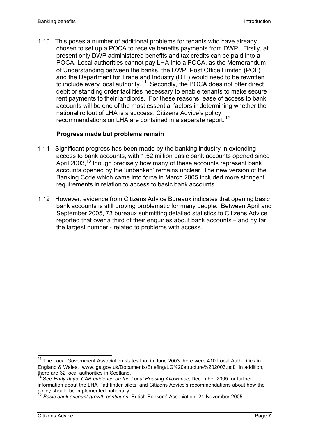1.10 This poses a number of additional problems for tenants who have already chosen to set up a POCA to receive benefits payments from DWP. Firstly, at present only DWP administered benefits and tax credits can be paid into a POCA. Local authorities cannot pay LHA into a POCA, as the Memorandum of Understanding between the banks, the DWP, Post Office Limited (POL) and the Department for Trade and Industry (DTI) would need to be rewritten to include every local authority.<sup>11</sup> Secondly, the POCA does not offer direct debit or standing order facilities necessary to enable tenants to make secure rent payments to their landlords. For these reasons, ease of access to bank accounts will be one of the most essential factors in determining whether the national rollout of LHA is a success. Citizens Advice's policy recommendations on LHA are contained in a separate report.<sup>12</sup>

# **Progress made but problems remain**

- 1.11 Significant progress has been made by the banking industry in extending access to bank accounts, with 1.52 million basic bank accounts opened since April 2003,<sup>13</sup> though precisely how many of these accounts represent bank accounts opened by the 'unbanked' remains unclear. The new version of the Banking Code which came into force in March 2005 included more stringent requirements in relation to access to basic bank accounts.
- 1.12 However, evidence from Citizens Advice Bureaux indicates that opening basic bank accounts is still proving problematic for many people. Between April and September 2005, 73 bureaux submitting detailed statistics to Citizens Advice reported that over a third of their enquiries about bank accounts – and by far the largest number - related to problems with access.

 $\overline{\phantom{a}}$ 

<sup>&</sup>lt;sup>11</sup> The Local Government Association states that in June 2003 there were 410 Local Authorities in England & Wales. www.lga.gov.uk/Documents/Briefing/LG%20structure%202003.pdf**.** In addition, there are 32 local authorities in Scotland.

<sup>&</sup>lt;sup>12</sup> See *Early days: CAB evidence on the Local Housing Allowance*, December 2005 for further information about the LHA Pathfinder pilots, and Citizens Advice's recommendations about how the policy should be implemented nationally.

<sup>13</sup> *Basic bank account growth continues*, British Bankers' Association, 24 November 2005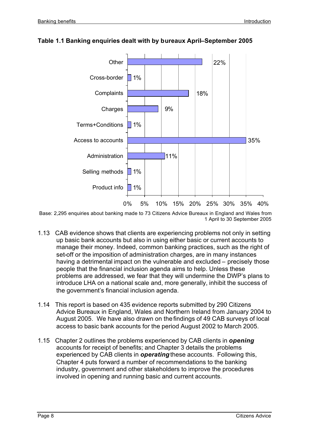

# **Table 1.1 Banking enquiries dealt with by bureaux April–September 2005**

Base: 2,295 enquiries about banking made to 73 Citizens Advice Bureaux in England and Wales from 1 April to 30 September 2005

- 1.13 CAB evidence shows that clients are experiencing problems not only in setting up basic bank accounts but also in using either basic or current accounts to manage their money. Indeed, common banking practices, such as the right of set-off or the imposition of administration charges, are in many instances having a detrimental impact on the vulnerable and excluded – precisely those people that the financial inclusion agenda aims to help. Unless these problems are addressed, we fear that they will undermine the DWP's plans to introduce LHA on a national scale and, more generally, inhibit the success of the government's financial inclusion agenda.
- 1.14 This report is based on 435 evidence reports submitted by 290 Citizens Advice Bureaux in England, Wales and Northern Ireland from January 2004 to August 2005. We have also drawn on the findings of 49 CAB surveys of local access to basic bank accounts for the period August 2002 to March 2005.
- 1.15 Chapter 2 outlines the problems experienced by CAB clients in *opening* accounts for receipt of benefits; and Chapter 3 details the problems experienced by CAB clients in *operating* these accounts. Following this, Chapter 4 puts forward a number of recommendations to the banking industry, government and other stakeholders to improve the procedures involved in opening and running basic and current accounts.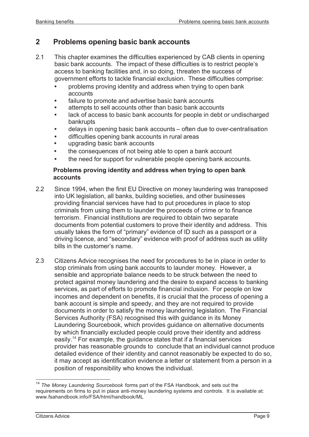# **2 Problems opening basic bank accounts**

- 2.1 This chapter examines the difficulties experienced by CAB clients in opening basic bank accounts. The impact of these difficulties is to restrict people's access to banking facilities and, in so doing, threaten the success of government efforts to tackle financial exclusion. These difficulties comprise:
	- **•** problems proving identity and address when trying to open bank accounts
	- **•** failure to promote and advertise basic bank accounts
	- **•** attempts to sell accounts other than basic bank accounts
	- **•** lack of access to basic bank accounts for people in debt or undischarged bankrupts
	- **•** delays in opening basic bank accounts often due to over-centralisation
	- **•** difficulties opening bank accounts in rural areas
	- **•** upgrading basic bank accounts
	- **•** the consequences of not being able to open a bank account
	- **•** the need for support for vulnerable people opening bank accounts.

# **Problems proving identity and address when trying to open bank accounts**

- 2.2 Since 1994, when the first EU Directive on money laundering was transposed into UK legislation, all banks, building societies, and other businesses providing financial services have had to put procedures in place to stop criminals from using them to launder the proceeds of crime or to finance terrorism. Financial institutions are required to obtain two separate documents from potential customers to prove their identity and address. This usually takes the form of "primary" evidence of ID such as a passport or a driving licence, and "secondary" evidence with proof of address such as utility bills in the customer's name.
- 2.3 Citizens Advice recognises the need for procedures to be in place in order to stop criminals from using bank accounts to launder money. However, a sensible and appropriate balance needs to be struck between the need to protect against money laundering and the desire to expand access to banking services, as part of efforts to promote financial inclusion. For people on low incomes and dependent on benefits, it is crucial that the process of opening a bank account is simple and speedy, and they are not required to provide documents in order to satisfy the money laundering legislation. The Financial Services Authority (FSA) recognised this with guidance in its Money Laundering Sourcebook, which provides guidance on alternative documents by which financially excluded people could prove their identity and address easily.<sup>14</sup> For example, the guidance states that if a financial services provider has reasonable grounds to conclude that an individual cannot produce detailed evidence of their identity and cannot reasonably be expected to do so, it may accept as identification evidence a letter or statement from a person in a position of responsibility who knows the individual.

<sup>&</sup>lt;sup>14</sup> The Money Laundering Sourcebook forms part of the FSA Handbook, and sets out the requirements on firms to put in place anti-money laundering systems and controls. It is available at: www.fsahandbook.info/FSA/html/handbook/ML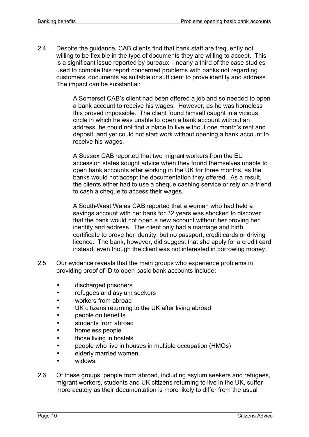2.4 Despite the guidance, CAB clients find that bank staff are frequently not willing to be flexible in the type of documents they are willing to accept. This is a significant issue reported by bureaux – nearly a third of the case studies used to compile this report concerned problems with banks not regarding customers' documents as suitable or sufficient to prove identity and address. The impact can be substantial:

> A Somerset CAB's client had been offered a job and so needed to open a bank account to receive his wages. However, as he was homeless this proved impossible. The client found himself caught in a vicious circle in which he was unable to open a bank account without an address, he could not find a place to live without one month's rent and deposit, and yet could not start work without opening a bank account to receive his wages.

> A Sussex CAB reported that two migrant workers from the EU accession states sought advice when they found themselves unable to open bank accounts after working in the UK for three months, as the banks would not accept the documentation they offered. As a result, the clients either had to use a cheque cashing service or rely on a friend to cash a cheque to access their wages.

> A South-West Wales CAB reported that a woman who had held a savings account with her bank for 32 years was shocked to discover that the bank would not open a new account without her proving her identity and address. The client only had a marriage and birth certificate to prove her identity, but no passport, credit cards or driving licence. The bank, however, did suggest that she apply for a credit card instead, even though the client was not interested in borrowing money.

- 2.5 Our evidence reveals that the main groups who experience problems in providing proof of ID to open basic bank accounts include:
	- discharged prisoners
	- refugees and asylum seekers
	- workers from abroad
	- UK citizens returning to the UK after living abroad
	- people on benefits
	- students from abroad
	- homeless people
	- those living in hostels
	- people who live in houses in multiple occupation (HMOs)
	- elderly married women
	- widows.
- 2.6 Of these groups, people from abroad, including asylum seekers and refugees, migrant workers, students and UK citizens returning to live in the UK, suffer more acutely as their documentation is more likely to differ from the usual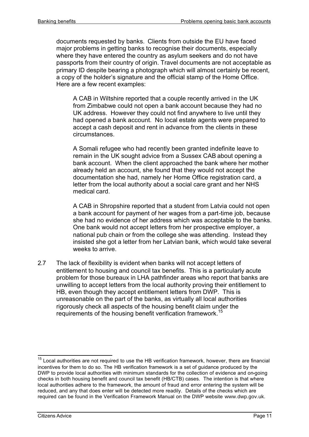documents requested by banks. Clients from outside the EU have faced major problems in getting banks to recognise their documents, especially where they have entered the country as asylum seekers and do not have passports from their country of origin. Travel documents are not acceptable as primary ID despite bearing a photograph which will almost certainly be recent, a copy of the holder's signature and the official stamp of the Home Office. Here are a few recent examples:

A CAB in Wiltshire reported that a couple recently arrived in the UK from Zimbabwe could not open a bank account because they had no UK address. However they could not find anywhere to live until they had opened a bank account. No local estate agents were prepared to accept a cash deposit and rent in advance from the clients in these circumstances.

A Somali refugee who had recently been granted indefinite leave to remain in the UK sought advice from a Sussex CAB about opening a bank account. When the client approached the bank where her mother already held an account, she found that they would not accept the documentation she had, namely her Home Office registration card, a letter from the local authority about a social care grant and her NHS medical card.

A CAB in Shropshire reported that a student from Latvia could not open a bank account for payment of her wages from a part-time job, because she had no evidence of her address which was acceptable to the banks. One bank would not accept letters from her prospective employer, a national pub chain or from the college she was attending. Instead they insisted she got a letter from her Latvian bank, which would take several weeks to arrive.

2.7 The lack of flexibility is evident when banks will not accept letters of entitlement to housing and council tax benefits. This is a particularly acute problem for those bureaux in LHA pathfinder areas who report that banks are unwilling to accept letters from the local authority proving their entitlement to HB, even though they accept entitlement letters from DWP. This is unreasonable on the part of the banks, as virtually all local authorities rigorously check all aspects of the housing benefit claim under the requirements of the housing benefit verification framework.<sup>15</sup>

 $\overline{\phantom{a}}$  $15$  Local authorities are not required to use the HB verification framework, however, there are financial incentives for them to do so. The HB verification framework is a set of guidance produced by the DWP to provide local authorities with minimum standards for the collection of evidence and on-going checks in both housing benefit and council tax benefit (HB/CTB) cases. The intention is that where local authorities adhere to the framework, the amount of fraud and error entering the system will be reduced, and any that does enter will be detected more readily. Details of the checks which are required can be found in the Verification Framework Manual on the DWP website www.dwp.gov.uk.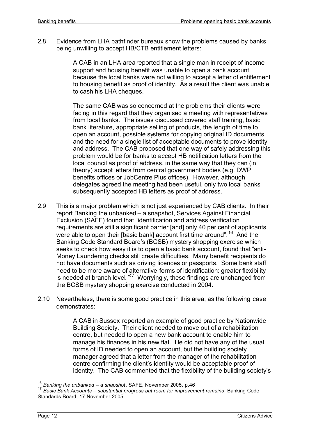2.8 Evidence from LHA pathfinder bureaux show the problems caused by banks being unwilling to accept HB/CTB entitlement letters:

> A CAB in an LHA area reported that a single man in receipt of income support and housing benefit was unable to open a bank account because the local banks were not willing to accept a letter of entitlement to housing benefit as proof of identity. As a result the client was unable to cash his LHA cheques.

> The same CAB was so concerned at the problems their clients were facing in this regard that they organised a meeting with representatives from local banks. The issues discussed covered staff training, basic bank literature, appropriate selling of products, the length of time to open an account, possible systems for copying original ID documents and the need for a single list of acceptable documents to prove identity and address. The CAB proposed that one way of safely addressing this problem would be for banks to accept HB notification letters from the local council as proof of address, in the same way that they can (in theory) accept letters from central government bodies (e.g. DWP benefits offices or JobCentre Plus offices). However, although delegates agreed the meeting had been useful, only two local banks subsequently accepted HB letters as proof of address.

- 2.9 This is a major problem which is not just experienced by CAB clients. In their report Banking the unbanked – a snapshot, Services Against Financial Exclusion (SAFE) found that "identification and address verification requirements are still a significant barrier [and] only 40 per cent of applicants were able to open their [basic bank] account first time around".<sup>16</sup> And the Banking Code Standard Board's (BCSB) mystery shopping exercise which seeks to check how easy it is to open a basic bank account, found that "anti-Money Laundering checks still create difficulties. Many benefit recipients do not have documents such as driving licences or passports. Some bank staff need to be more aware of alternative forms of identification: greater flexibility is needed at branch level*."<sup>17</sup>* Worryingly, these findings are unchanged from the BCSB mystery shopping exercise conducted in 2004.
- 2.10 Nevertheless, there is some good practice in this area, as the following case demonstrates:

A CAB in Sussex reported an example of good practice by Nationwide Building Society. Their client needed to move out of a rehabilitation centre, but needed to open a new bank account to enable him to manage his finances in his new flat. He did not have any of the usual forms of ID needed to open an account, but the building society manager agreed that a letter from the manager of the rehabilitation centre confirming the client's identity would be acceptable proof of identity. The CAB commented that the flexibility of the building society's

<sup>16</sup> *Banking the unbanked – a snapshot*, SAFE, November 2005, p.46

<sup>17</sup> *Basic Bank Accounts – substantial progress but room for improvement remains*, Banking Code Standards Board, 17 November 2005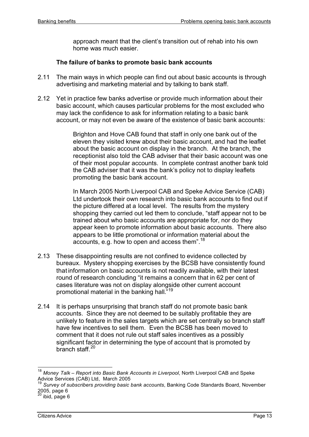approach meant that the client's transition out of rehab into his own home was much easier.

## **The failure of banks to promote basic bank accounts**

- 2.11 The main ways in which people can find out about basic accounts is through advertising and marketing material and by talking to bank staff.
- 2.12 Yet in practice few banks advertise or provide much information about their basic account, which causes particular problems for the most excluded who may lack the confidence to ask for information relating to a basic bank account, or may not even be aware of the existence of basic bank accounts:

Brighton and Hove CAB found that staff in only one bank out of the eleven they visited knew about their basic account, and had the leaflet about the basic account on display in the branch. At the branch, the receptionist also told the CAB adviser that their basic account was one of their most popular accounts. In complete contrast another bank told the CAB adviser that it was the bank's policy not to display leaflets promoting the basic bank account.

In March 2005 North Liverpool CAB and Speke Advice Service (CAB) Ltd undertook their own research into basic bank accounts to find out if the picture differed at a local level. The results from the mystery shopping they carried out led them to conclude, "staff appear not to be trained about who basic accounts are appropriate for, nor do they appear keen to promote information about basic accounts. There also appears to be little promotional or information material about the accounts, e.g. how to open and access them".<sup>18</sup>

- 2.13 These disappointing results are not confined to evidence collected by bureaux. Mystery shopping exercises by the BCSB have consistently found that information on basic accounts is not readily available, with their latest round of research concluding "it remains a concern that in 62 per cent of cases literature was not on display alongside other current account promotional material in the banking hall.<sup>"19</sup>
- 2.14 It is perhaps unsurprising that branch staff do not promote basic bank accounts. Since they are not deemed to be suitably profitable they are unlikely to feature in the sales targets which are set centrally so branch staff have few incentives to sell them. Even the BCSB has been moved to comment that it does not rule out staff sales incentives as a possibly significant factor in determining the type of account that is promoted by branch staff.<sup>20</sup>

<sup>18</sup> *Money Talk – Report into Basic Bank Accounts in Liverpool*, North Liverpool CAB and Speke Advice Services (CAB) Ltd, March 2005

<sup>19</sup> *Survey of subscribers providing basic bank accounts*, Banking Code Standards Board, November  $2005$ , page 6

 $^{0}$  ibid, page 6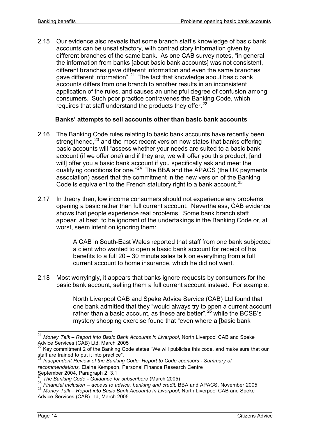2.15 Our evidence also reveals that some branch staff's knowledge of basic bank accounts can be unsatisfactory, with contradictory information given by different branches of the same bank. As one CAB survey notes, "in general the information from banks [about basic bank accounts] was not consistent, different branches gave different information and even the same branches gave different information".<sup>21</sup> The fact that knowledge about basic bank accounts differs from one branch to another results in an inconsistent application of the rules, and causes an unhelpful degree of confusion among consumers.Such poor practice contravenes the Banking Code, which requires that staff understand the products they offer.  $22$ 

#### **Banks' attempts to sell accounts other than basic bank accounts**

- 2.16 The Banking Code rules relating to basic bank accounts have recently been strengthened, $^{23}$  and the most recent version now states that banks offering basic accounts will "assess whether your needs are suited to a basic bank account (if we offer one) and if they are, we will offer you this product; [and will] offer you a basic bank account if you specifically ask and meet the qualifying conditions for one."<sup>24</sup> The BBA and the APACS (the UK payments association) assert that the commitment in the new version of the Banking Code is equivalent to the French statutory right to a bank account.<sup>25</sup>
- 2.17 In theory then, low income consumers should not experience any problems opening a basic rather than full current account. Nevertheless, CAB evidence shows that people experience real problems. Some bank branch staff appear, at best, to be ignorant of the undertakings in the Banking Code or, at worst, seem intent on ignoring them:

A CAB in South-East Wales reported that staff from one bank subjected a client who wanted to open a basic bank account for receipt of his benefits to a full 20 – 30 minute sales talk on everything from a full current account to home insurance, which he did not want.

2.18 Most worryingly, it appears that banks ignore requests by consumers for the basic bank account, selling them a full current account instead. For example:

> North Liverpool CAB and Speke Advice Service (CAB) Ltd found that one bank admitted that they "would always try to open a current account rather than a basic account, as these are better",<sup>26</sup> while the BCSB's mystery shopping exercise found that "even where a [basic bank

<sup>21</sup> *Money Talk – Report into Basic Bank Accounts in Liverpool*, North Liverpool CAB and Speke Advice Services (CAB) Ltd, March 2005

 $^{22}$  Key commitment 2 of the Banking Code states "We will publicise this code, and make sure that our staff are trained to put it into practice".

<sup>23</sup> *Independent Review of the Banking Code: Report to Code sponsors - Summary of recommendations,* Elaine Kempson, Personal Finance Research Centre September 2004, Paragraph 2. 3.1

<sup>24</sup> *The Banking Code - Guidance for subscribers* (March 2005)

<sup>25</sup> *Financial Inclusion – access to advice, banking and credit,* BBA and APACS, November 2005

<sup>26</sup> *Money Talk – Report into Basic Bank Accounts in Liverpool*, North Liverpool CAB and Speke Advice Services (CAB) Ltd, March 2005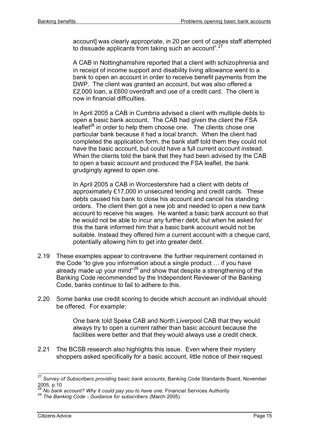account] was clearly appropriate, in 20 per cent of cases staff attempted to dissuade applicants from taking such an account".<sup>27</sup>

A CAB in Nottinghamshire reported that a client with schizophrenia and in receipt of income support and disability living allowance went to a bank to open an account in order to receive benefit payments from the DWP. The client was granted an account, but was also offered a £2,000 loan, a £600 overdraft and use of a credit card. The client is now in financial difficulties.

In April 2005 a CAB in Cumbria advised a client with multiple debts to open a basic bank account. The CAB had given the client the FSA leaflet<sup>28</sup> in order to help them choose one. The clients chose one particular bank because it had a local branch. When the client had completed the application form, the bank staff told them they could not have the basic account, but could have a full current account instead. When the clients told the bank that they had been advised by the CAB to open a basic account and produced the FSA leaflet, the bank grudgingly agreed to open one.

In April 2005 a CAB in Worcestershire had a client with debts of approximately £17,000 in unsecured lending and credit cards. These debts caused his bank to close his account and cancel his standing orders. The client then got a new job and needed to open a new bank account to receive his wages. He wanted a basic bank account so that he would not be able to incur any further debt, but when he asked for this the bank informed him that a basic bank account would not be suitable. Instead they offered him a current account with a cheque card, potentially allowing him to get into greater debt.

- 2.19 These examples appear to contravene the further requirement contained in the Code "to give you information about a single product … if you have already made up your mind"<sup>29</sup> and show that despite a strengthening of the Banking Code recommended by the Independent Reviewer of the Banking Code, banks continue to fail to adhere to this.
- 2.20 Some banks use credit scoring to decide which account an individual should be offered. For example:

One bank told Speke CAB and North Liverpool CAB that they would always try to open a current rather than basic account because the facilities were better and that they would always use a credit check.

2.21 The BCSB research also highlights this issue. Even where their mystery shoppers asked specifically for a basic account, little notice of their request

 $\overline{\phantom{a}}$ <sup>27</sup> *Survey of Subscribers providing basic bank accounts*, Banking Code Standards Board, November 2005. p.10

<sup>28</sup> *No bank account? Why it could pay you to have one*, Financial Services Authority

<sup>29</sup> *The Banking Code - Guidance for subscribers* (March 2005).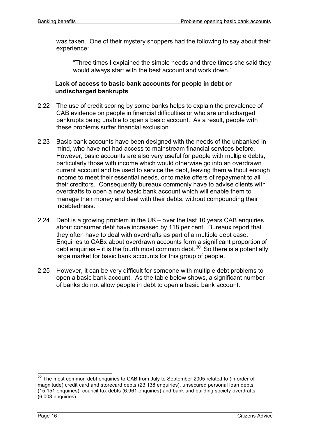was taken. One of their mystery shoppers had the following to say about their experience:

"Three times I explained the simple needs and three times she said they would always start with the best account and work down."

## **Lack of access to basic bank accounts for people in debt or undischarged bankrupts**

- 2.22 The use of credit scoring by some banks helps to explain the prevalence of CAB evidence on people in financial difficulties or who are undischarged bankrupts being unable to open a basic account. As a result, people with these problems suffer financial exclusion.
- 2.23 Basic bank accounts have been designed with the needs of the unbanked in mind, who have not had access to mainstream financial services before. However, basic accounts are also very useful for people with multiple debts, particularly those with income which would otherwise go into an overdrawn current account and be used to service the debt, leaving them without enough income to meet their essential needs, or to make offers of repayment to all their creditors. Consequently bureaux commonly have to advise clients with overdrafts to open a new basic bank account which will enable them to manage their money and deal with their debts, without compounding their indebtedness.
- 2.24 Debt is a growing problem in the UK over the last 10 years CAB enquiries about consumer debt have increased by 118 per cent. Bureaux report that they often have to deal with overdrafts as part of a multiple debt case. Enquiries to CABx about overdrawn accounts form a significant proportion of debt enquiries – it is the fourth most common debt.<sup>30</sup> So there is a potentially large market for basic bank accounts for this group of people.
- 2.25 However, it can be very difficult for someone with multiple debt problems to open a basic bank account. As the table below shows, a significant number of banks do not allow people in debt to open a basic bank account:

 $\overline{\phantom{a}}$  $30$  The most common debt enquiries to CAB from July to September 2005 related to (in order of magnitude) credit card and storecard debts (23,138 enquiries), unsecured personal loan debts (15,151 enquiries), council tax debts (6,961 enquiries) and bank and building society overdrafts  $(6,003$  enquiries).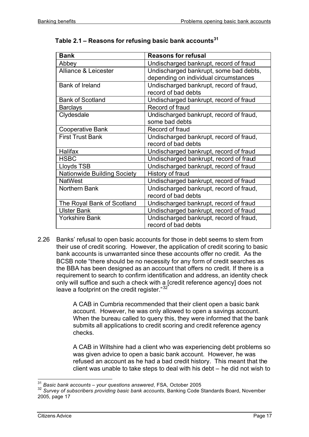| <b>Bank</b>                        | <b>Reasons for refusal</b>              |  |
|------------------------------------|-----------------------------------------|--|
| Abbey                              | Undischarged bankrupt, record of fraud  |  |
| <b>Alliance &amp; Leicester</b>    | Undischarged bankrupt, some bad debts,  |  |
|                                    | depending on individual circumstances   |  |
| <b>Bank of Ireland</b>             | Undischarged bankrupt, record of fraud, |  |
|                                    | record of bad debts                     |  |
| <b>Bank of Scotland</b>            | Undischarged bankrupt, record of fraud  |  |
| <b>Barclays</b>                    | Record of fraud                         |  |
| Clydesdale                         | Undischarged bankrupt, record of fraud, |  |
|                                    | some bad debts                          |  |
| <b>Cooperative Bank</b>            | Record of fraud                         |  |
| <b>First Trust Bank</b>            | Undischarged bankrupt, record of fraud, |  |
|                                    | record of bad debts                     |  |
| <b>Halifax</b>                     | Undischarged bankrupt, record of fraud  |  |
| <b>HSBC</b>                        | Undischarged bankrupt, record of fraud  |  |
| <b>Lloyds TSB</b>                  | Undischarged bankrupt, record of fraud  |  |
| <b>Nationwide Building Society</b> | History of fraud                        |  |
| <b>NatWest</b>                     | Undischarged bankrupt, record of fraud  |  |
| Northern Bank                      | Undischarged bankrupt, record of fraud, |  |
|                                    | record of bad debts                     |  |
| The Royal Bank of Scotland         | Undischarged bankrupt, record of fraud  |  |
| <b>Ulster Bank</b>                 | Undischarged bankrupt, record of fraud  |  |
| <b>Yorkshire Bank</b>              | Undischarged bankrupt, record of fraud, |  |
|                                    | record of bad debts                     |  |

# **Table 2.1 – Reasons for refusing basic bank accounts<sup>31</sup>**

2.26 Banks' refusal to open basic accounts for those in debt seems to stem from their use of credit scoring. However, the application of credit scoring to basic bank accounts is unwarranted since these accounts offer no credit. As the BCSB note "there should be no necessity for any form of credit searches as the BBA has been designed as an account that offers no credit. If there is a requirement to search to confirm identification and address, an identity check only will suffice and such a check with a [credit reference agency] does not leave a footprint on the credit register."<sup>32</sup>

> A CAB in Cumbria recommended that their client open a basic bank account. However, he was only allowed to open a savings account. When the bureau called to query this, they were informed that the bank submits all applications to credit scoring and credit reference agency checks.

A CAB in Wiltshire had a client who was experiencing debt problems so was given advice to open a basic bank account. However, he was refused an account as he had a bad credit history. This meant that the client was unable to take steps to deal with his debt – he did not wish to

j <sup>31</sup> *Basic bank accounts – your questions answered*, FSA, October 2005

<sup>32</sup> *Survey of subscribers providing basic bank accounts*, Banking Code Standards Board, November 2005, page 17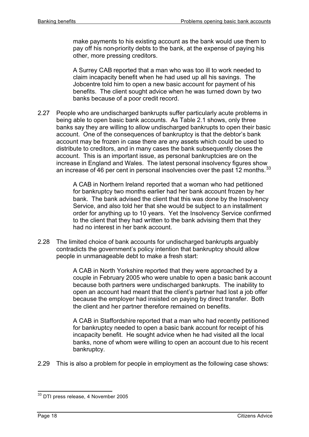make payments to his existing account as the bank would use them to pay off his non-priority debts to the bank, at the expense of paying his other, more pressing creditors.

A Surrey CAB reported that a man who was too ill to work needed to claim incapacity benefit when he had used up all his savings. The Jobcentre told him to open a new basic account for payment of his benefits. The client sought advice when he was turned down by two banks because of a poor credit record.

2.27 People who are undischarged bankrupts suffer particularly acute problems in being able to open basic bank accounts. As Table 2.1 shows, only three banks say they are willing to allow undischarged bankrupts to open their basic account. One of the consequences of bankruptcy is that the debtor's bank account may be frozen in case there are any assets which could be used to distribute to creditors, and in many cases the bank subsequently closes the account. This is an important issue, as personal bankruptcies are on the increase in England and Wales. The latest personal insolvency figures show an increase of 46 per cent in personal insolvencies over the past  $12$  months.  $33$ 

> A CAB in Northern Ireland reported that a woman who had petitioned for bankruptcy two months earlier had her bank account frozen by her bank. The bank advised the client that this was done by the Insolvency Service, and also told her that she would be subject to an installment order for anything up to 10 years. Yet the Insolvency Service confirmed to the client that they had written to the bank advising them that they had no interest in her bank account.

2.28 The limited choice of bank accounts for undischarged bankrupts arguably contradicts the government's policy intention that bankruptcy should allow people in unmanageable debt to make a fresh start:

> A CAB in North Yorkshire reported that they were approached by a couple in February 2005 who were unable to open a basic bank account because both partners were undischarged bankrupts. The inability to open an account had meant that the client's partner had lost a job offer because the employer had insisted on paying by direct transfer. Both the client and her partner therefore remained on benefits.

A CAB in Staffordshire reported that a man who had recently petitioned for bankruptcy needed to open a basic bank account for receipt of his incapacity benefit. He sought advice when he had visited all the local banks, none of whom were willing to open an account due to his recent bankruptcy.

2.29 This is also a problem for people in employment as the following case shows:

 $\overline{\phantom{a}}$  $^{33}$  DTI press release, 4 November 2005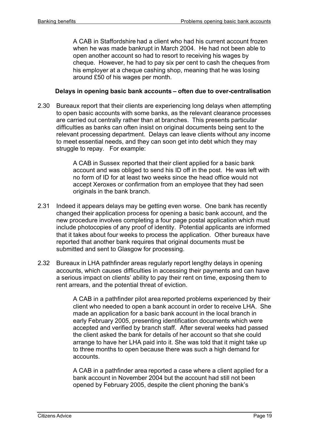A CAB in Staffordshire had a client who had his current account frozen when he was made bankrupt in March 2004. He had not been able to open another account so had to resort to receiving his wages by cheque. However, he had to pay six per cent to cash the cheques from his employer at a cheque cashing shop, meaning that he was losing around £50 of his wages per month.

#### **Delays in opening basic bank accounts – often due to over-centralisation**

2.30 Bureaux report that their clients are experiencing long delays when attempting to open basic accounts with some banks, as the relevant clearance processes are carried out centrally rather than at branches. This presents particular difficulties as banks can often insist on original documents being sent to the relevant processing department. Delays can leave clients without any income to meet essential needs, and they can soon get into debt which they may struggle to repay. For example:

> A CAB in Sussex reported that their client applied for a basic bank account and was obliged to send his ID off in the post. He was left with no form of ID for at least two weeks since the head office would not accept Xeroxes or confirmation from an employee that they had seen originals in the bank branch.

- 2.31 Indeed it appears delays may be getting even worse. One bank has recently changed their application process for opening a basic bank account, and the new procedure involves completing a four page postal application which must include photocopies of any proof of identity. Potential applicants are informed that it takes about four weeks to process the application. Other bureaux have reported that another bank requires that original documents must be submitted and sent to Glasgow for processing.
- 2.32 Bureaux in LHA pathfinder areas regularly report lengthy delays in opening accounts, which causes difficulties in accessing their payments and can have a serious impact on clients' ability to pay their rent on time, exposing them to rent arrears, and the potential threat of eviction.

A CAB in a pathfinder pilot area reported problems experienced by their client who needed to open a bank account in order to receive LHA. She made an application for a basic bank account in the local branch in early February 2005, presenting identification documents which were accepted and verified by branch staff. After several weeks had passed the client asked the bank for details of her account so that she could arrange to have her LHA paid into it. She was told that it might take up to three months to open because there was such a high demand for accounts.

A CAB in a pathfinder area reported a case where a client applied for a bank account in November 2004 but the account had still not been opened by February 2005, despite the client phoning the bank's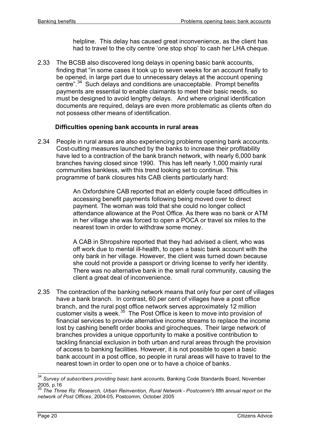helpline. This delay has caused great inconvenience, as the client has had to travel to the city centre 'one stop shop' to cash her LHA cheque.

2.33 The BCSB also discovered long delays in opening basic bank accounts, finding that "in some cases it took up to seven weeks for an account finally to be opened, in large part due to unnecessary delays at the account opening centre".<sup>34</sup> Such delays and conditions are unacceptable. Prompt benefits payments are essential to enable claimants to meet their basic needs, so must be designed to avoid lengthy delays. And where original identification documents are required, delays are even more problematic as clients often do not possess other means of identification.

#### **Difficulties opening bank accounts in rural areas**

2.34 People in rural areas are also experiencing problems opening bank accounts. Cost-cutting measures launched by the banks to increase their profitability have led to a contraction of the bank branch network, with nearly 6,000 bank branches having closed since 1990. This has left nearly 1,000 mainly rural communities bankless, with this trend looking set to continue. This programme of bank closures hits CAB clients particularly hard:

> An Oxfordshire CAB reported that an elderly couple faced difficulties in accessing benefit payments following being moved over to direct payment. The woman was told that she could no longer collect attendance allowance at the Post Office. As there was no bank or ATM in her village she was forced to open a POCA or travel six miles to the nearest town in order to withdraw some money.

A CAB in Shropshire reported that they had advised a client, who was off work due to mental ill-health, to open a basic bank account with the only bank in her village. However, the client was turned down because she could not provide a passport or driving license to verify her identity. There was no alternative bank in the small rural community, causing the client a great deal of inconvenience.

2.35 The contraction of the banking network means that only four per cent of villages have a bank branch. In contrast, 60 per cent of villages have a post office branch, and the rural post office network serves approximately 12 million customer visits a week.<sup>35</sup> The Post Office is keen to move into provision of financial services to provide alternative income streams to replace the income lost by cashing benefit order books and girocheques. Their large network of branches provides a unique opportunity to make a positive contribution to tackling financial exclusion in both urban and rural areas through the provision of access to banking facilities. However, it is not possible to open a basic bank account in a post office, so people in rural areas will have to travel to the nearest town in order to open one or to have a choice of banks.

<sup>34</sup> <sup>34</sup> *Survey of subscribers providing basic bank accounts*, Banking Code Standards Board, November 2005, p.16

<sup>35</sup> *The Three Rs: Research, Urban Reinvention, Rural Network - Postcomm's fifth annual report on the network of Post Offices*, 2004-05, Postcomm, October 2005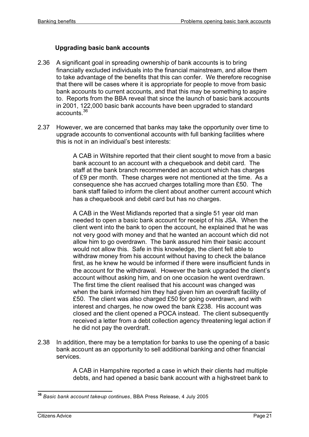# **Upgrading basic bank accounts**

- 2.36 A significant goal in spreading ownership of bank accounts is to bring financially excluded individuals into the financial mainstream, and allow them to take advantage of the benefits that this can confer. We therefore recognise that there will be cases where it is appropriate for people to move from basic bank accounts to current accounts, and that this may be something to aspire to. Reports from the BBA reveal that since the launch of basic bank accounts in 2001, 122,000 basic bank accounts have been upgraded to standard accounts.<sup>36</sup>
- 2.37 However, we are concerned that banks may take the opportunity over time to upgrade accounts to conventional accounts with full banking facilities where this is not in an individual's best interests:

A CAB in Wiltshire reported that their client sought to move from a basic bank account to an account with a chequebook and debit card. The staff at the bank branch recommended an account which has charges of £9 per month. These charges were not mentioned at the time. As a consequence she has accrued charges totalling more than £50. The bank staff failed to inform the client about another current account which has a chequebook and debit card but has no charges.

A CAB in the West Midlands reported that a single 51 year old man needed to open a basic bank account for receipt of his JSA. When the client went into the bank to open the account, he explained that he was not very good with money and that he wanted an account which did not allow him to go overdrawn. The bank assured him their basic account would not allow this. Safe in this knowledge, the client felt able to withdraw money from his account without having to check the balance first, as he knew he would be informed if there were insufficient funds in the account for the withdrawal. However the bank upgraded the client's account without asking him, and on one occasion he went overdrawn. The first time the client realised that his account was changed was when the bank informed him they had given him an overdraft facility of £50. The client was also charged £50 for going overdrawn, and with interest and charges, he now owed the bank £238. His account was closed and the client opened a POCA instead. The client subsequently received a letter from a debt collection agency threatening legal action if he did not pay the overdraft.

2.38 In addition, there may be a temptation for banks to use the opening of a basic bank account as an opportunity to sell additional banking and other financial services.

> A CAB in Hampshire reported a case in which their clients had multiple debts, and had opened a basic bank account with a high-street bank to

 $\overline{\phantom{a}}$ **<sup>36</sup>** *Basic bank account take-up continues*, BBA Press Release, 4 July 2005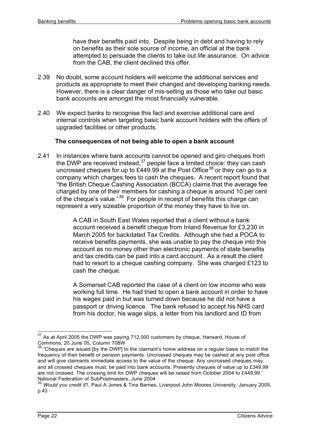have their benefits paid into. Despite being in debt and having to rely on benefits as their sole source of income, an official at the bank attempted to persuade the clients to take out life assurance. On advice from the CAB, the client declined this offer.

- 2.39 No doubt, some account holders will welcome the additional services and products as appropriate to meet their changed and developing banking needs. However, there is a clear danger of mis-selling as those who take out basic bank accounts are amongst the most financially vulnerable.
- 2.40 We expect banks to recognise this fact and exercise additional care and internal controls when targeting basic bank account holders with the offers of upgraded facilities or other products.

#### **The consequences of not being able to open a bank account**

2.41 In instances where bank accounts cannot be opened and giro cheques from the DWP are received instead,  $37$  people face a limited choice: they can cash uncrossed cheques for up to £449.99 at the Post Office<sup>38</sup> or they can go to a company which charges fees to cash the cheques. A recent report found that "the British Cheque Cashing Association (BCCA) claims that the average fee charged by one of their members for cashing a cheque is around 10 per cent of the cheque's value."<sup>39</sup> For people in receipt of benefits this charge can represent a very sizeable proportion of the money they have to live on.

> A CAB in South East Wales reported that a client without a bank account received a benefit cheque from Inland Revenue for £3,230 in March 2005 for backdated Tax Credits. Although she had a POCA to receive benefits payments, she was unable to pay the cheque into this account as no money other than electronic payments of state benefits and tax credits can be paid into a card account. As a result the client had to resort to a cheque cashing company. She was charged £123 to cash the cheque.

> A Somerset CAB reported the case of a client on low income who was working full time. He had tried to open a bank account in order to have his wages paid in but was turned down because he did not have a passport or driving licence. The bank refused to accept his NHS card from his doctor, his wage slips, a letter from his landlord and ID from

 $37$  As at April 2005 the DWP was paying 712,000 customers by cheque, Hansard, House of Commons, 20 June 05, Column 708W

 $38$  "Cheques are issued [by the DWP] to the claimant's home address on a regular basis to match the frequency of their benefit or pension payments. Uncrossed cheques may be cashed at any post office and will give claimants immediate access to the value of the cheque. Any uncrossed cheques may, and all crossed cheques must, be paid into bank accounts. Presently cheques of value up to £349.99 are not crossed. The crossing limit for DWP cheques will be raised from October 2004 to £449.99." National Federation of SubPostmasters, June 2004

<sup>39</sup> *Would you credit it*?, Paul A Jones & Tina Barnes, Liverpool John Moores University, January 2005, p.43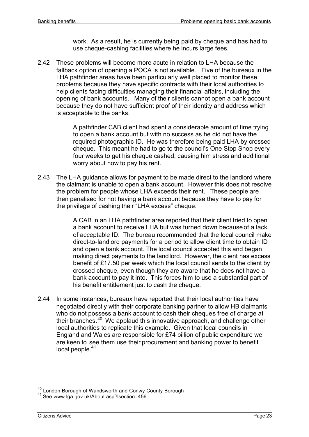work. As a result, he is currently being paid by cheque and has had to use cheque-cashing facilities where he incurs large fees.

2.42 These problems will become more acute in relation to LHA because the fallback option of opening a POCA is not available. Five of the bureaux in the LHA pathfinder areas have been particularly well placed to monitor these problems because they have specific contracts with their local authorities to help clients facing difficulties managing their financial affairs, including the opening of bank accounts. Many of their clients cannot open a bank account because they do not have sufficient proof of their identity and address which is acceptable to the banks.

> A pathfinder CAB client had spent a considerable amount of time trying to open a bank account but with no success as he did not have the required photographic ID. He was therefore being paid LHA by crossed cheque. This meant he had to go to the council's One Stop Shop every four weeks to get his cheque cashed, causing him stress and additional worry about how to pay his rent.

2.43 The LHA guidance allows for payment to be made direct to the landlord where the claimant is unable to open a bank account. However this does not resolve the problem for people whose LHA exceeds their rent. These people are then penalised for not having a bank account because they have to pay for the privilege of cashing their "LHA excess" cheque:

> A CAB in an LHA pathfinder area reported that their client tried to open a bank account to receive LHA but was turned down because of a lack of acceptable ID. The bureau recommended that the local council make direct-to-landlord payments for a period to allow client time to obtain ID and open a bank account. The local council accepted this and began making direct payments to the landlord. However, the client has excess benefit of £17.50 per week which the local council sends to the client by crossed cheque, even though they are aware that he does not have a bank account to pay it into. This forces him to use a substantial part of his benefit entitlement just to cash the cheque.

2.44 In some instances, bureaux have reported that their local authorities have negotiated directly with their corporate banking partner to allow HB claimants who do not possess a bank account to cash their cheques free of charge at their branches.<sup>40</sup> We applaud this innovative approach, and challenge other local authorities to replicate this example. Given that local councils in England and Wales are responsible for £74 billion of public expenditure we are keen to see them use their procurement and banking power to benefit local people.<sup>41</sup>

j <sup>40</sup> London Borough of Wandsworth and Conwy County Borough

<sup>41</sup> See www.lga.gov.uk/About.asp?lsection=456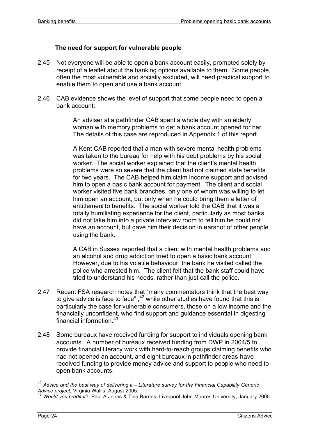## **The need for support for vulnerable people**

- 2.45 Not everyone will be able to open a bank account easily, prompted solely by receipt of a leaflet about the banking options available to them. Some people, often the most vulnerable and socially excluded, will need practical support to enable them to open and use a bank account.
- 2.46 CAB evidence shows the level of support that some people need to open a bank account:

An adviser at a pathfinder CAB spent a whole day with an elderly woman with memory problems to get a bank account opened for her. The details of this case are reproduced in Appendix 1 of this report.

A Kent CAB reported that a man with severe mental health problems was taken to the bureau for help with his debt problems by his social worker. The social worker explained that the client's mental health problems were so severe that the client had not claimed state benefits for two years. The CAB helped him claim income support and advised him to open a basic bank account for payment. The client and social worker visited five bank branches, only one of whom was willing to let him open an account, but only when he could bring them a letter of entitlement to benefits. The social worker told the CAB that it was a totally humiliating experience for the client, particularly as most banks did not take him into a private interview room to tell him he could not have an account, but gave him their decision in earshot of other people using the bank.

A CAB in Sussex reported that a client with mental health problems and an alcohol and drug addiction tried to open a basic bank account. However, due to his volatile behaviour, the bank he visited called the police who arrested him. The client felt that the bank staff could have tried to understand his needs, rather than just call the police.

- 2.47 Recent FSA research notes that "many commentators think that the best way to give advice is face to face", $42$  while other studies have found that this is particularly the case for vulnerable consumers, those on a low income and the financially unconfident, who find support and guidance essential in digesting financial information  $43$
- 2.48 Some bureaux have received funding for support to individuals opening bank accounts. A number of bureaux received funding from DWP in 2004/5 to provide financial literacy work with hard-to-reach groups claiming benefits who had not opened an account, and eight bureaux in pathfinder areas have received funding to provide money advice and support to people who need to open bank accounts.

j <sup>42</sup> *Advice and the best way of delivering it – Literature survey for the Financial Capability Generic Advice project*, Virginia Wallis, August 2005.

<sup>43</sup> *Would you credit it*?, Paul A Jones & Tina Barnes, Liverpool John Moores University, January 2005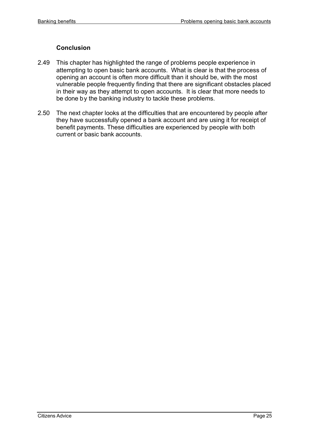#### **Conclusion**

- 2.49 This chapter has highlighted the range of problems people experience in attempting to open basic bank accounts. What is clear is that the process of opening an account is often more difficult than it should be, with the most vulnerable people frequently finding that there are significant obstacles placed in their way as they attempt to open accounts. It is clear that more needs to be done by the banking industry to tackle these problems.
- 2.50 The next chapter looks at the difficulties that are encountered by people after they have successfully opened a bank account and are using it for receipt of benefit payments. These difficulties are experienced by people with both current or basic bank accounts.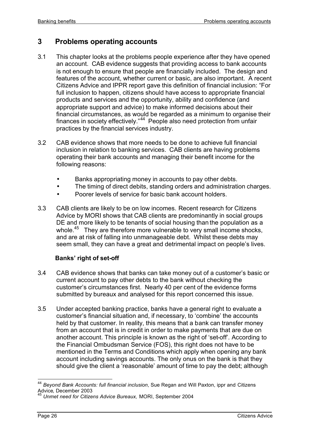# **3 Problems operating accounts**

- 3.1 This chapter looks at the problems people experience after they have opened an account. CAB evidence suggests that providing access to bank accounts is not enough to ensure that people are financially included. The design and features of the account, whether current or basic, are also important. A recent Citizens Advice and IPPR report gave this definition of financial inclusion: "For full inclusion to happen, citizens should have access to appropriate financial products and services and the opportunity, ability and confidence (and appropriate support and advice) to make informed decisions about their financial circumstances, as would be regarded as a minimum to organise their finances in society effectively."<sup>44</sup> People also need protection from unfair practices by the financial services industry.
- 3.2 CAB evidence shows that more needs to be done to achieve full financial inclusion in relation to banking services. CAB clients are having problems operating their bank accounts and managing their benefit income for the following reasons:
	- Banks appropriating money in accounts to pay other debts.
	- The timing of direct debits, standing orders and administration charges.
	- Poorer levels of service for basic bank account holders.
- 3.3 CAB clients are likely to be on low incomes. Recent research for Citizens Advice by MORI shows that CAB clients are predominantly in social groups DE and more likely to be tenants of social housing than the population as a whole.<sup>45</sup> They are therefore more vulnerable to very small income shocks, and are at risk of falling into unmanageable debt. Whilst these debts may seem small, they can have a great and detrimental impact on people's lives.

# **Banks' right of set-off**

- 3.4 CAB evidence shows that banks can take money out of a customer's basic or current account to pay other debts to the bank without checking the customer's circumstances first. Nearly 40 per cent of the evidence forms submitted by bureaux and analysed for this report concerned this issue.
- 3.5 Under accepted banking practice, banks have a general right to evaluate a customer's financial situation and, if necessary, to 'combine' the accounts held by that customer. In reality, this means that a bank can transfer money from an account that is in credit in order to make payments that are due on another account. This principle is known as the right of 'set-off'. According to the Financial Ombudsman Service (FOS), this right does not have to be mentioned in the Terms and Conditions which apply when opening any bank account including savings accounts. The only onus on the bank is that they should give the client a 'reasonable' amount of time to pay the debt; although

<sup>44</sup> *Beyond Bank Accounts: full financial inclusion*, Sue Regan and Will Paxton, ippr and Citizens Advice, December 2003

<sup>&</sup>lt;sup>3</sup> Unmet need for Citizens Advice Bureaux, MORI, September 2004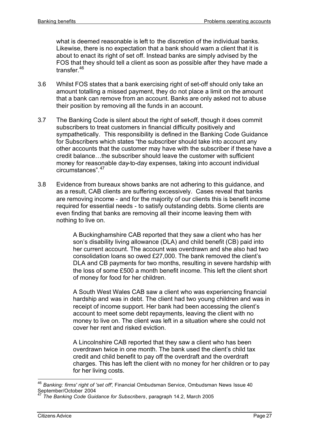what is deemed reasonable is left to the discretion of the individual banks. Likewise, there is no expectation that a bank should warn a client that it is about to enact its right of set off. Instead banks are simply advised by the FOS that they should tell a client as soon as possible after they have made a transfer.<sup>46</sup>

- 3.6 Whilst FOS states that a bank exercising right of set-off should only take an amount totalling a missed payment, they do not place a limit on the amount that a bank can remove from an account. Banks are only asked not to abuse their position by removing all the funds in an account.
- 3.7 The Banking Code is silent about the right of set-off, though it does commit subscribers to treat customers in financial difficulty positively and sympathetically. This responsibility is defined in the Banking Code Guidance for Subscribers which states "the subscriber should take into account any other accounts that the customer may have with the subscriber if these have a credit balance…the subscriber should leave the customer with sufficient money for reasonable day-to-day expenses, taking into account individual circumstances".<sup>47</sup>
- 3.8 Evidence from bureaux shows banks are not adhering to this guidance, and as a result, CAB clients are suffering excessively. Cases reveal that banks are removing income - and for the majority of our clients this is benefit income required for essential needs - to satisfy outstanding debts. Some clients are even finding that banks are removing all their income leaving them with nothing to live on.

A Buckinghamshire CAB reported that they saw a client who has her son's disability living allowance (DLA) and child benefit (CB) paid into her current account. The account was overdrawn and she also had two consolidation loans so owed £27,000. The bank removed the client's DLA and CB payments for two months, resulting in severe hardship with the loss of some £500 a month benefit income. This left the client short of money for food for her children.

A South West Wales CAB saw a client who was experiencing financial hardship and was in debt. The client had two young children and was in receipt of income support. Her bank had been accessing the client's account to meet some debt repayments, leaving the client with no money to live on. The client was left in a situation where she could not cover her rent and risked eviction.

A Lincolnshire CAB reported that they saw a client who has been overdrawn twice in one month. The bank used the client's child tax credit and child benefit to pay off the overdraft and the overdraft charges. This has left the client with no money for her children or to pay for her living costs.

<sup>46</sup> *Banking: firms' right of 'set off'*, Financial Ombudsman Service, Ombudsman News Issue 40 September/October 2004

<sup>47</sup> *The Banking Code Guidance for Subscribers*, paragraph 14.2, March 2005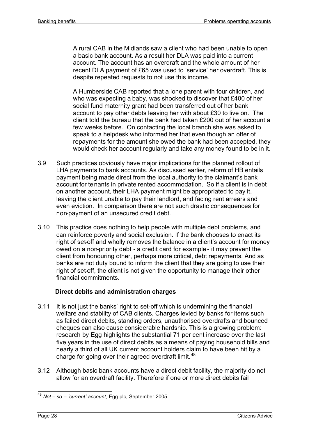A rural CAB in the Midlands saw a client who had been unable to open a basic bank account. As a result her DLA was paid into a current account. The account has an overdraft and the whole amount of her recent DLA payment of £65 was used to 'service' her overdraft. This is despite repeated requests to not use this income.

A Humberside CAB reported that a lone parent with four children, and who was expecting a baby, was shocked to discover that £400 of her social fund maternity grant had been transferred out of her bank account to pay other debts leaving her with about £30 to live on. The client told the bureau that the bank had taken £200 out of her account a few weeks before. On contacting the local branch she was asked to speak to a helpdesk who informed her that even though an offer of repayments for the amount she owed the bank had been accepted, they would check her account regularly and take any money found to be in it.

- 3.9 Such practices obviously have major implications for the planned rollout of LHA payments to bank accounts. As discussed earlier, reform of HB entails payment being made direct from the local authority to the claimant's bank account for tenants in private rented accommodation. So if a client is in debt on another account, their LHA payment might be appropriated to pay it, leaving the client unable to pay their landlord, and facing rent arrears and even eviction. In comparison there are not such drastic consequences for non-payment of an unsecured credit debt.
- 3.10 This practice does nothing to help people with multiple debt problems, and can reinforce poverty and social exclusion. If the bank chooses to enact its right of set-off and wholly removes the balance in a client's account for money owed on a non-priority debt - a credit card for example - it may prevent the client from honouring other, perhaps more critical, debt repayments. And as banks are not duty bound to inform the client that they are going to use their right of set-off, the client is not given the opportunity to manage their other financial commitments.

# **Direct debits and administration charges**

- 3.11 It is not just the banks' right to set-off which is undermining the financial welfare and stability of CAB clients. Charges levied by banks for items such as failed direct debits, standing orders, unauthorised overdrafts and bounced cheques can also cause considerable hardship. This is a growing problem: research by Egg highlights the substantial 71 per cent increase over the last five years in the use of direct debits as a means of paying household bills and nearly a third of all UK current account holders claim to have been hit by a charge for going over their agreed overdraft limit.<sup>48</sup>
- 3.12 Although basic bank accounts have a direct debit facility, the majority do not allow for an overdraft facility. Therefore if one or more direct debits fail

 $\overline{\phantom{a}}$ <sup>48</sup> *Not – so – 'current' account,* Egg plc, September 2005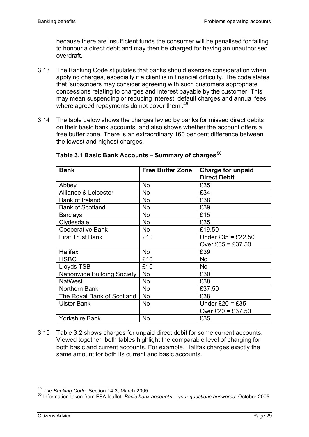because there are insufficient funds the consumer will be penalised for failing to honour a direct debit and may then be charged for having an unauthorised overdraft.

- 3.13 The Banking Code stipulates that banks should exercise consideration when applying charges, especially if a client is in financial difficulty. The code states that 'subscribers may consider agreeing with such customers appropriate concessions relating to charges and interest payable by the customer. This may mean suspending or reducing interest, default charges and annual fees where agreed repayments do not cover them'.<sup>49</sup>
- 3.14 The table below shows the charges levied by banks for missed direct debits on their basic bank accounts, and also shows whether the account offers a free buffer zone. There is an extraordinary 160 per cent difference between the lowest and highest charges.

| <b>Bank</b>                        | <b>Free Buffer Zone</b> | <b>Charge for unpaid</b> |
|------------------------------------|-------------------------|--------------------------|
|                                    |                         | <b>Direct Debit</b>      |
| Abbey                              | <b>No</b>               | £35                      |
| <b>Alliance &amp; Leicester</b>    | <b>No</b>               | £34                      |
| Bank of Ireland                    | No                      | £38                      |
| <b>Bank of Scotland</b>            | <b>No</b>               | £39                      |
| <b>Barclays</b>                    | No                      | £15                      |
| Clydesdale                         | No                      | £35                      |
| <b>Cooperative Bank</b>            | <b>No</b>               | £19.50                   |
| <b>First Trust Bank</b>            | £10                     | Under £35 = £22.50       |
|                                    |                         | Over £35 = £37.50        |
| <b>Halifax</b>                     | <b>No</b>               | £39                      |
| <b>HSBC</b>                        | £10                     | <b>No</b>                |
| Lloyds TSB                         | £10                     | <b>No</b>                |
| <b>Nationwide Building Society</b> | <b>No</b>               | £30                      |
| <b>NatWest</b>                     | No                      | £38                      |
| Northern Bank                      | No                      | £37.50                   |
| The Royal Bank of Scotland         | No                      | £38                      |
| <b>Ulster Bank</b>                 | <b>No</b>               | Under $£20 = £35$        |
|                                    |                         | Over £20 = £37.50        |
| <b>Yorkshire Bank</b>              | <b>No</b>               | £35                      |

**Table 3.1 Basic Bank Accounts – Summary of charges<sup>50</sup>**

3.15 Table 3.2 shows charges for unpaid direct debit for some current accounts. Viewed together, both tables highlight the comparable level of charging for both basic and current accounts. For example, Halifax charges exactly the same amount for both its current and basic accounts.

<sup>49</sup> *The Banking Code*, Section 14.3, March 2005

<sup>50</sup> Information taken from FSA leaflet *Basic bank accounts – your questions answered*, October 2005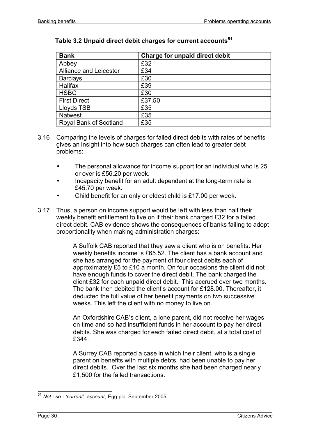| <b>Bank</b>                   | Charge for unpaid direct debit |
|-------------------------------|--------------------------------|
| Abbey                         | £32                            |
| <b>Alliance and Leicester</b> | £34                            |
| <b>Barclays</b>               | £30                            |
| Halifax                       | £39                            |
| <b>HSBC</b>                   | £30                            |
| <b>First Direct</b>           | £37.50                         |
| Lloyds TSB                    | £35                            |
| <b>Natwest</b>                | £35                            |
| <b>Royal Bank of Scotland</b> | £35                            |

# **Table 3.2 Unpaid direct debit charges for current accounts<sup>51</sup>**

- 3.16 Comparing the levels of charges for failed direct debits with rates of benefits gives an insight into how such charges can often lead to greater debt problems:
	- The personal allowance for income support for an individual who is 25 or over is £56.20 per week.
	- Incapacity benefit for an adult dependent at the long-term rate is £45.70 per week.
	- Child benefit for an only or eldest child is £17.00 per week.
- 3.17 Thus, a person on income support would be left with less than half their weekly benefit entitlement to live on if their bank charged £32 for a failed direct debit. CAB evidence shows the consequences of banks failing to adopt proportionality when making administration charges:

A Suffolk CAB reported that they saw a client who is on benefits. Her weekly benefits income is £65.52. The client has a bank account and she has arranged for the payment of four direct debits each of approximately £5 to £10 a month. On four occasions the client did not have enough funds to cover the direct debit. The bank charged the client £32 for each unpaid direct debit. This accrued over two months. The bank then debited the client's account for £128.00. Thereafter, it deducted the full value of her benefit payments on two successive weeks. This left the client with no money to live on.

An Oxfordshire CAB's client, a lone parent, did not receive her wages on time and so had insufficient funds in her account to pay her direct debits. She was charged for each failed direct debit, at a total cost of £344.

A Surrey CAB reported a case in which their client, who is a single parent on benefits with multiple debts, had been unable to pay her direct debits. Over the last six months she had been charged nearly £1,500 for the failed transactions.

 $\overline{a}$ <sup>51</sup> *Not - so - 'current' account*, Egg plc, September 2005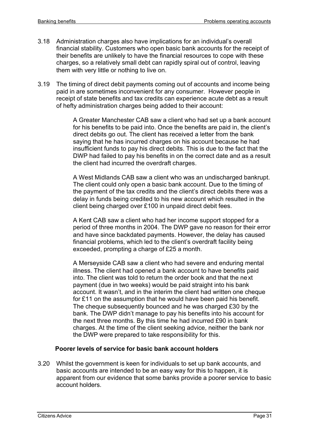- 3.18 Administration charges also have implications for an individual's overall financial stability. Customers who open basic bank accounts for the receipt of their benefits are unlikely to have the financial resources to cope with these charges, so a relatively small debt can rapidly spiral out of control, leaving them with very little or nothing to live on.
- 3.19 The timing of direct debit payments coming out of accounts and income being paid in are sometimes inconvenient for any consumer. However people in receipt of state benefits and tax credits can experience acute debt as a result of hefty administration charges being added to their account:

A Greater Manchester CAB saw a client who had set up a bank account for his benefits to be paid into. Once the benefits are paid in, the client's direct debits go out. The client has received a letter from the bank saying that he has incurred charges on his account because he had insufficient funds to pay his direct debits. This is due to the fact that the DWP had failed to pay his benefits in on the correct date and as a result the client had incurred the overdraft charges.

A West Midlands CAB saw a client who was an undischarged bankrupt. The client could only open a basic bank account. Due to the timing of the payment of the tax credits and the client's direct debits there was a delay in funds being credited to his new account which resulted in the client being charged over £100 in unpaid direct debit fees.

A Kent CAB saw a client who had her income support stopped for a period of three months in 2004. The DWP gave no reason for their error and have since backdated payments. However, the delay has caused financial problems, which led to the client's overdraft facility being exceeded, prompting a charge of £25 a month.

A Merseyside CAB saw a client who had severe and enduring mental illness. The client had opened a bank account to have benefits paid into. The client was told to return the order book and that the next payment (due in two weeks) would be paid straight into his bank account. It wasn't, and in the interim the client had written one cheque for £11 on the assumption that he would have been paid his benefit. The cheque subsequently bounced and he was charged £30 by the bank. The DWP didn't manage to pay his benefits into his account for the next three months. By this time he had incurred £90 in bank charges. At the time of the client seeking advice, neither the bank nor the DWP were prepared to take responsibility for this.

#### **Poorer levels of service for basic bank account holders**

3.20 Whilst the government is keen for individuals to set up bank accounts, and basic accounts are intended to be an easy way for this to happen, it is apparent from our evidence that some banks provide a poorer service to basic account holders.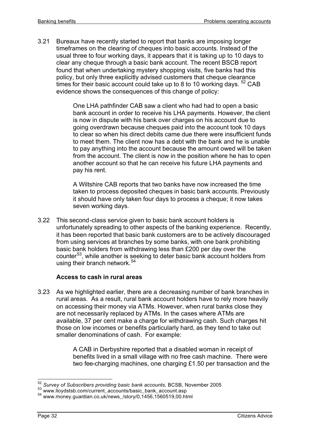3.21 Bureaux have recently started to report that banks are imposing longer timeframes on the clearing of cheques into basic accounts. Instead of the usual three to four working days, it appears that it is taking up to 10 days to clear any cheque through a basic bank account. The recent BSCB report found that when undertaking mystery shopping visits, five banks had this policy, but only three explicitly advised customers that cheque clearance times for their basic account could take up to 8 to 10 working days.  $52$  CAB evidence shows the consequences of this change of policy:

> One LHA pathfinder CAB saw a client who had had to open a basic bank account in order to receive his LHA payments. However, the client is now in dispute with his bank over charges on his account due to going overdrawn because cheques paid into the account took 10 days to clear so when his direct debits came due there were insufficient funds to meet them. The client now has a debt with the bank and he is unable to pay anything into the account because the amount owed will be taken from the account. The client is now in the position where he has to open another account so that he can receive his future LHA payments and pay his rent.

> A Wiltshire CAB reports that two banks have now increased the time taken to process deposited cheques in basic bank accounts. Previously it should have only taken four days to process a cheque; it now takes seven working days.

3.22 This second-class service given to basic bank account holders is unfortunately spreading to other aspects of the banking experience. Recently, it has been reported that basic bank customers are to be actively discouraged from using services at branches by some banks, with one bank prohibiting basic bank holders from withdrawing less than £200 per day over the counter<sup>53</sup>, while another is seeking to deter basic bank account holders from using their branch network.<sup>54</sup>

# **Access to cash in rural areas**

3.23 As we highlighted earlier, there are a decreasing number of bank branches in rural areas. As a result, rural bank account holders have to rely more heavily on accessing their money via ATMs. However, when rural banks close they are not necessarily replaced by ATMs. In the cases where ATMs are available, 37 per cent make a charge for withdrawing cash. Such charges hit those on low incomes or benefits particularly hard, as they tend to take out smaller denominations of cash. For example:

> A CAB in Derbyshire reported that a disabled woman in receipt of benefits lived in a small village with no free cash machine. There were two fee-charging machines, one charging £1.50 per transaction and the

j <sup>52</sup> *Survey of Subscribers providing basic bank accounts*, BCSB, November 2005

<sup>53</sup> www.lloydstsb.com/current\_accounts/basic\_bank\_account.asp

<sup>54</sup> www.money.guardian.co.uk/news\_/story/0,1456,1560519,00.html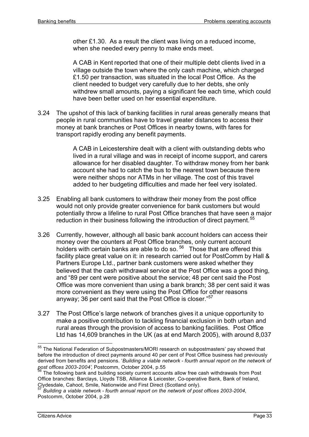other £1.30. As a result the client was living on a reduced income, when she needed every penny to make ends meet.

A CAB in Kent reported that one of their multiple debt clients lived in a village outside the town where the only cash machine, which charged £1.50 per transaction, was situated in the local Post Office. As the client needed to budget very carefully due to her debts, she only withdrew small amounts, paying a significant fee each time, which could have been better used on her essential expenditure.

3.24 The upshot of this lack of banking facilities in rural areas generally means that people in rural communities have to travel greater distances to access their money at bank branches or Post Offices in nearby towns, with fares for transport rapidly eroding any benefit payments.

> A CAB in Leicestershire dealt with a client with outstanding debts who lived in a rural village and was in receipt of income support, and carers allowance for her disabled daughter. To withdraw money from her bank account she had to catch the bus to the nearest town because there were neither shops nor ATMs in her village. The cost of this travel added to her budgeting difficulties and made her feel very isolated.

- 3.25 Enabling all bank customers to withdraw their money from the post office would not only provide greater convenience for bank customers but would potentially throw a lifeline to rural Post Office branches that have seen a major reduction in their business following the introduction of direct payment.<sup>55</sup>
- 3.26 Currently, however, although all basic bank account holders can access their money over the counters at Post Office branches, only current account holders with certain banks are able to do so.  $56$  Those that are offered this facility place great value on it: in research carried out for PostComm by Hall & Partners Europe Ltd., partner bank customers were asked whether they believed that the cash withdrawal service at the Post Office was a good thing, and "89 per cent were positive about the service; 48 per cent said the Post Office was more convenient than using a bank branch; 38 per cent said it was more convenient as they were using the Post Office for other reasons anyway; 36 per cent said that the Post Office is closer."<sup>57</sup>
- 3.27 The Post Office's large network of branches gives it a unique opportunity to make a positive contribution to tackling financial exclusion in both urban and rural areas through the provision of access to banking facilities. Post Office Ltd has 14,609 branches in the UK (as at end March 2005), with around 8,037

<sup>&</sup>lt;sup>55</sup> The National Federation of Subpostmasters/MORI research on subpostmasters' pay showed that before the introduction of direct payments around 40 per cent of Post Office business had previously derived from benefits and pensions. '*Building a viable network - fourth annual report on the network of post offices 2003-2004'*, Postcomm, October 2004, p.55

 $56$  The following bank and building society current accounts allow free cash withdrawals from Post Office branches: Barclays, Lloyds TSB, Alliance & Leicester, Co-operative Bank, Bank of Ireland, Clydesdale, Cahoot, Smile, Nationwide and First Direct (Scotland only).

<sup>57</sup> *Building a viable network - fourth annual report on the network of post offices 2003-2004*, Postcomm, October 2004, p.28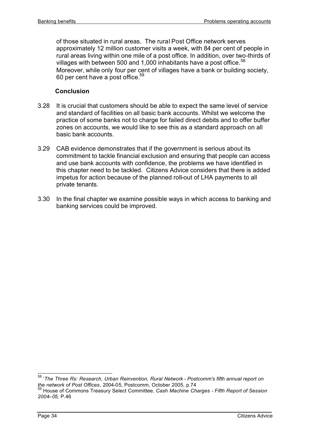of those situated in rural areas. The rural Post Office network serves approximately 12 million customer visits a week, with 84 per cent of people in rural areas living within one mile of a post office. In addition, over two-thirds of villages with between 500 and 1,000 inhabitants have a post office.  $58$ Moreover, while only four per cent of villages have a bank or building society, 60 per cent have a post office. $59$ 

#### **Conclusion**

- 3.28 It is crucial that customers should be able to expect the same level of service and standard of facilities on all basic bank accounts. Whilst we welcome the practice of some banks not to charge for failed direct debits and to offer buffer zones on accounts, we would like to see this as a standard approach on all basic bank accounts.
- 3.29 CAB evidence demonstrates that if the government is serious about its commitment to tackle financial exclusion and ensuring that people can access and use bank accounts with confidence, the problems we have identified in this chapter need to be tackled. Citizens Advice considers that there is added impetus for action because of the planned roll-out of LHA payments to all private tenants.
- 3.30 In the final chapter we examine possible ways in which access to banking and banking services could be improved.

 $\overline{\phantom{a}}$ 

<sup>58</sup> '*The Three Rs: Research, Urban Reinvention, Rural Network - Postcomm's fifth annual report on the network of Post Offices*, 2004-05, Postcomm, October 2005, p.74 <sup>59</sup> House of Commons Treasury Select Committee, *Cash Machine Charges - Fifth Report of Session 2004–05,* P.46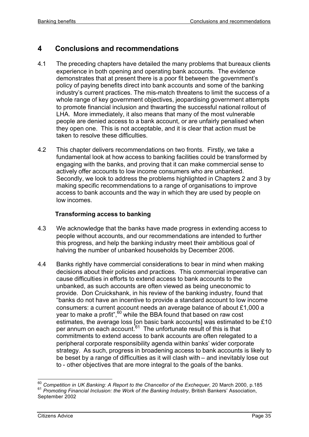# **4 Conclusions and recommendations**

- 4.1 The preceding chapters have detailed the many problems that bureaux clients experience in both opening and operating bank accounts. The evidence demonstrates that at present there is a poor fit between the government's policy of paying benefits direct into bank accounts and some of the banking industry's current practices. The mis-match threatens to limit the success of a whole range of key government objectives, jeopardising government attempts to promote financial inclusion and thwarting the successful national rollout of LHA. More immediately, it also means that many of the most vulnerable people are denied access to a bank account, or are unfairly penalised when they open one. This is not acceptable, and it is clear that action must be taken to resolve these difficulties.
- 4.2 This chapter delivers recommendations on two fronts. Firstly, we take a fundamental look at how access to banking facilities could be transformed by engaging with the banks, and proving that it can make commercial sense to actively offer accounts to low income consumers who are unbanked. Secondly, we look to address the problems highlighted in Chapters 2 and 3 by making specific recommendations to a range of organisations to improve access to bank accounts and the way in which they are used by people on low incomes.

# **Transforming access to banking**

- 4.3 We acknowledge that the banks have made progress in extending access to people without accounts, and our recommendations are intended to further this progress, and help the banking industry meet their ambitious goal of halving the number of unbanked households by December 2006.
- 4.4 Banks rightly have commercial considerations to bear in mind when making decisions about their policies and practices. This commercial imperative can cause difficulties in efforts to extend access to bank accounts to the unbanked, as such accounts are often viewed as being uneconomic to provide. Don Cruickshank, in his review of the banking industry, found that "banks do not have an incentive to provide a standard account to low income consumers: a current account needs an average balance of about £1,000 a year to make a profit",<sup>60</sup> while the BBA found that based on raw cost estimates, the average loss [on basic bank accounts] was estimated to be £10 per annum on each account.<sup>61</sup> The unfortunate result of this is that commitments to extend access to bank accounts are often relegated to a peripheral corporate responsibility agenda within banks' wider corporate strategy. As such, progress in broadening access to bank accounts is likely to be beset by a range of difficulties as it will clash with – and inevitably lose out to - other objectives that are more integral to the goals of the banks.

j <sup>60</sup> *Competition in UK Banking: A Report to the Chancellor of the Exchequer*, 20 March 2000, p.185 <sup>61</sup> *Promoting Financial Inclusion: the Work of the Banking Industry*, British Bankers' Association, September 2002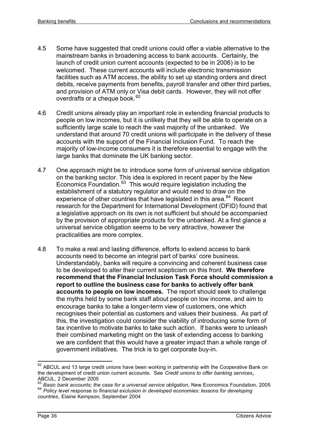- 4.5 Some have suggested that credit unions could offer a viable alternative to the mainstream banks in broadening access to bank accounts. Certainly, the launch of credit union current accounts (expected to be in 2006) is to be welcomed. These current accounts will include electronic transmission facilities such as ATM access, the ability to set up standing orders and direct debits, receive payments from benefits, payroll transfer and other third parties, and provision of ATM only or Visa debit cards. However, they will not offer overdrafts or a cheque book.<sup>62</sup>
- 4.6 Credit unions already play an important role in extending financial products to people on low incomes, but it is unlikely that they will be able to operate on a sufficiently large scale to reach the vast majority of the unbanked. We understand that around 70 credit unions will participate in the delivery of these accounts with the support of the Financial Inclusion Fund. To reach the majority of low-income consumers it is therefore essential to engage with the large banks that dominate the UK banking sector.
- 4.7 One approach might be to introduce some form of universal service obligation on the banking sector. This idea is explored in recent paper by the New Economics Foundation.<sup>63</sup> This would require legislation including the establishment of a statutory regulator and would need to draw on the experience of other countries that have legislated in this area. $64$  Recent research for the Department for International Development (DFID) found that a legislative approach on its own is not sufficient but should be accompanied by the provision of appropriate products for the unbanked. At a first glance a universal service obligation seems to be very attractive, however the practicalities are more complex.
- 4.8 To make a real and lasting difference, efforts to extend access to bank accounts need to become an integral part of banks' core business. Understandably, banks will require a convincing and coherent business case to be developed to alter their current scepticism on this front. **We therefore recommend that the Financial Inclusion Task Force should commission a report to outline the business case for banks to actively offer bank accounts to people on low incomes.** The report should seek to challenge the myths held by some bank staff about people on low income, and aim to encourage banks to take a longer-term view of customers, one which recognises their potential as customers and values their business. As part of this, the investigation could consider the viability of introducing some form of tax incentive to motivate banks to take such action. If banks were to unleash their combined marketing might on the task of extending access to banking we are confident that this would have a greater impact than a whole range of government initiatives. The trick is to get corporate buy-in.

 $62$  ABCUL and 13 large credit unions have been working in partnership with the Cooperative Bank on the development of credit union current accounts. See *Credit unions to offer banking services,*  ABCUL, 2 December 2005

<sup>&</sup>lt;sup>63</sup> Basic bank accounts; the case for a universal service obligation, New Economics Foundation, 2005 <sup>64</sup> *Policy level response to financial exclusion in developed economies: lessons for developing countries*, Elaine Kempson, September 2004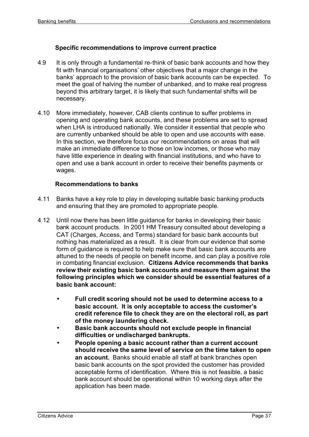#### **Specific recommendations to improve current practice**

- 4.9 It is only through a fundamental re-think of basic bank accounts and how they fit with financial organisations' other objectives that a major change in the banks' approach to the provision of basic bank accounts can be expected. To meet the goal of halving the number of unbanked, and to make real progress beyond this arbitrary target, it is likely that such fundamental shifts will be necessary.
- 4.10 More immediately, however, CAB clients continue to suffer problems in opening and operating bank accounts, and these problems are set to spread when LHA is introduced nationally. We consider it essential that people who are currently unbanked should be able to open and use accounts with ease. In this section, we therefore focus our recommendations on areas that will make an immediate difference to those on low incomes, or those who may have little experience in dealing with financial institutions, and who have to open and use a bank account in order to receive their benefits payments or wages.

#### **Recommendations to banks**

- 4.11 Banks have a key role to play in developing suitable basic banking products and ensuring that they are promoted to appropriate people.
- 4.12 Until now there has been little guidance for banks in developing their basic bank account products. In 2001 HM Treasury consulted about developing a CAT (Charges, Access, and Terms) standard for basic bank accounts but nothing has materialized as a result. It is clear from our evidence that some form of guidance is required to help make sure that basic bank accounts are attuned to the needs of people on benefit income, and can play a positive role in combating financial exclusion. **Citizens Advice recommends that banks review their existing basic bank accounts and measure them against the following principles which we consider should be essential features of a basic bank account:**
	- **Full credit scoring should not be used to determine access to a basic account. It is only acceptable to access the customer's credit reference file to check they are on the electoral roll, as part of the money laundering check.**
	- **Basic bank accounts should not exclude people in financial difficulties or undischarged bankrupts.**
	- **People opening a basic account rather than a current account should receive the same level of service on the time taken to open an account.** Banks should enable all staff at bank branches open basic bank accounts on the spot provided the customer has provided acceptable forms of identification. Where this is not feasible, a basic bank account should be operational within 10 working days after the application has been made.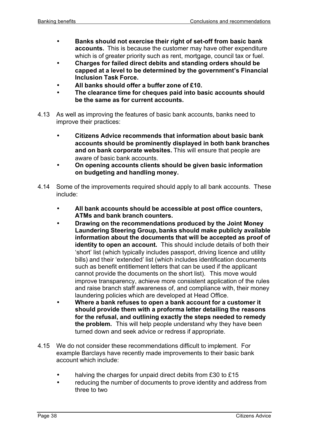- **Banks should not exercise their right of set-off from basic bank accounts.** This is because the customer may have other expenditure which is of greater priority such as rent, mortgage, council tax or fuel.
- **Charges for failed direct debits and standing orders should be capped at a level to be determined by the government's Financial Inclusion Task Force.**
- **All banks should offer a buffer zone of £10.**
- **The clearance time for cheques paid into basic accounts should be the same as for current accounts.**
- 4.13 As well as improving the features of basic bank accounts, banks need to improve their practices:
	- **Citizens Advice recommends that information about basic bank accounts should be prominently displayed in both bank branches and on bank corporate websites.** This will ensure that people are aware of basic bank accounts.
	- **On opening accounts clients should be given basic information on budgeting and handling money.**
- 4.14 Some of the improvements required should apply to all bank accounts. These include:
	- **All bank accounts should be accessible at post office counters, ATMs and bank branch counters.**
	- **Drawing on the recommendations produced by the Joint Money Laundering Steering Group, banks should make publicly available information about the documents that will be accepted as proof of identity to open an account.** This should include details of both their 'short' list (which typically includes passport, driving licence and utility bills) and their 'extended' list (which includes identification documents such as benefit entitlement letters that can be used if the applicant cannot provide the documents on the short list). This move would improve transparency, achieve more consistent application of the rules and raise branch staff awareness of, and compliance with, their money laundering policies which are developed at Head Office.
	- **Where a bank refuses to open a bank account for a customer it should provide them with a proforma letter detailing the reasons for the refusal, and outlining exactly the steps needed to remedy the problem.** This will help people understand why they have been turned down and seek advice or redress if appropriate.
- 4.15 We do not consider these recommendations difficult to implement. For example Barclays have recently made improvements to their basic bank account which include:
	- halving the charges for unpaid direct debits from £30 to £15
	- reducing the number of documents to prove identity and address from three to two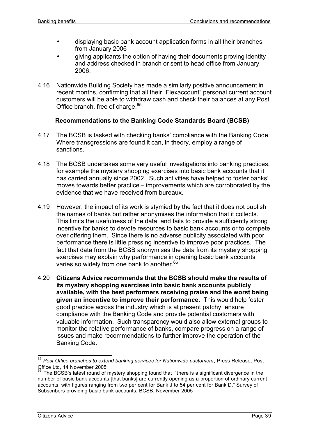- displaying basic bank account application forms in all their branches from January 2006
- giving applicants the option of having their documents proving identity and address checked in branch or sent to head office from January 2006.
- 4.16 Nationwide Building Society has made a similarly positive announcement in recent months, confirming that all their "Flexaccount" personal current account customers will be able to withdraw cash and check their balances at any Post Office branch, free of charge.<sup>65</sup>

#### **Recommendations to the Banking Code Standards Board (BCSB)**

- 4.17 The BCSB is tasked with checking banks' compliance with the Banking Code. Where transgressions are found it can, in theory, employ a range of sanctions.
- 4.18 The BCSB undertakes some very useful investigations into banking practices, for example the mystery shopping exercises into basic bank accounts that it has carried annually since 2002. Such activities have helped to foster banks' moves towards better practice – improvements which are corroborated by the evidence that we have received from bureaux.
- 4.19 However, the impact of its work is stymied by the fact that it does not publish the names of banks but rather anonymises the information that it collects. This limits the usefulness of the data, and fails to provide a sufficiently strong incentive for banks to devote resources to basic bank accounts or to compete over offering them. Since there is no adverse publicity associated with poor performance there is little pressing incentive to improve poor practices. The fact that data from the BCSB anonymises the data from its mystery shopping exercises may explain why performance in opening basic bank accounts varies so widely from one bank to another.<sup>66</sup>
- 4.20 **Citizens Advice recommends that the BCSB should make the results of its mystery shopping exercises into basic bank accounts publicly available, with the best performers receiving praise and the worst being given an incentive to improve their performance.** This would help foster good practice across the industry which is at present patchy, ensure compliance with the Banking Code and provide potential customers with valuable information. Such transparency would also allow external groups to monitor the relative performance of banks, compare progress on a range of issues and make recommendations to further improve the operation of the Banking Code.

 $\overline{\phantom{a}}$ <sup>65</sup> *Post Office branches to extend banking services for Nationwide customers*, Press Release, Post Office Ltd, 14 November 2005

The BCSB's latest round of mystery shopping found that "there is a significant divergence in the number of basic bank accounts [that banks] are currently opening as a proportion of ordinary current accounts, with figures ranging from two per cent for Bank J to 54 per cent for Bank D." Survey of Subscribers providing basic bank accounts, BCSB, November 2005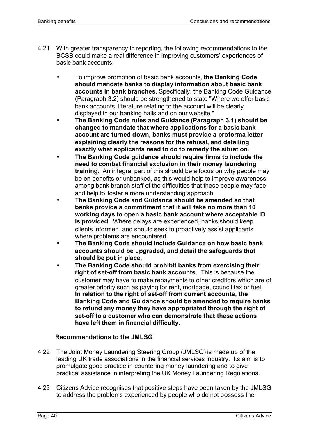- 4.21 With greater transparency in reporting, the following recommendations to the BCSB could make a real difference in improving customers' experiences of basic bank accounts:
	- To improve promotion of basic bank accounts, **the Banking Code should mandate banks to display information about basic bank accounts in bank branches.** Specifically, the Banking Code Guidance (Paragraph 3.2) should be strengthened to state "Where we offer basic bank accounts, literature relating to the account will be clearly displayed in our banking halls and on our website."
	- **The Banking Code rules and Guidance (Paragraph 3.1) should be changed to mandate that where applications for a basic bank account are turned down, banks must provide a proforma letter explaining clearly the reasons for the refusal, and detailing exactly what applicants need to do to remedy the situation**.
	- **The Banking Code guidance should require firms to include the need to combat financial exclusion in their money laundering training.** An integral part of this should be a focus on why people may be on benefits or unbanked, as this would help to improve awareness among bank branch staff of the difficulties that these people may face, and help to foster a more understanding approach.
	- **The Banking Code and Guidance should be amended so that banks provide a commitment that it will take no more than 10 working days to open a basic bank account where acceptable ID is provided**. Where delays are experienced, banks should keep clients informed, and should seek to proactively assist applicants where problems are encountered.
	- **The Banking Code should include Guidance on how basic bank accounts should be upgraded, and detail the safeguards that should be put in place**.
	- **The Banking Code should prohibit banks from exercising their right of set-off from basic bank accounts**. This is because the customer may have to make repayments to other creditors which are of greater priority such as paying for rent, mortgage, council tax or fuel. **In relation to the right of set-off from current accounts, the Banking Code and Guidance should be amended to require banks to refund any money they have appropriated through the right of set-off to a customer who can demonstrate that these actions have left them in financial difficulty.**

# **Recommendations to the JMLSG**

- 4.22 The Joint Money Laundering Steering Group (JMLSG) is made up of the leading UK trade associations in the financial services industry. Its aim is to promulgate good practice in countering money laundering and to give practical assistance in interpreting the UK Money Laundering Regulations.
- 4.23 Citizens Advice recognises that positive steps have been taken by the JMLSG to address the problems experienced by people who do not possess the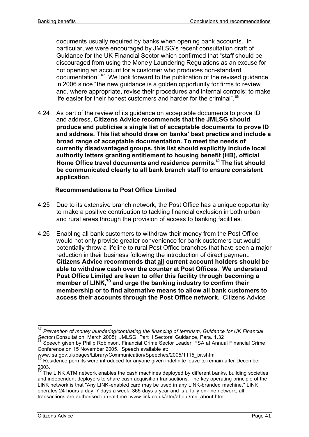documents usually required by banks when opening bank accounts. In particular, we were encouraged by JMLSG's recent consultation draft of Guidance for the UK Financial Sector which confirmed that "staff should be discouraged from using the Money Laundering Regulations as an excuse for not opening an account for a customer who produces non-standard documentation".<sup>67</sup> We look forward to the publication of the revised guidance in 2006 since "the new guidance is a golden opportunity for firms to review and, where appropriate, revise their procedures and internal controls: to make life easier for their honest customers and harder for the criminal".<sup>68</sup>

4.24 As part of the review of its guidance on acceptable documents to prove ID and address, **Citizens Advice recommends that the JMLSG should produce and publicise a single list of acceptable documents to prove ID and address. This list should draw on banks' best practice and include a broad range of acceptable documentation. To meet the needs of currently disadvantaged groups, this list should explicitly include local authority letters granting entitlement to housing benefit (HB), official Home Office travel documents and residence permits.<sup>69</sup> The list should be communicated clearly to all bank branch staff to ensure consistent application**.

# **Recommendations to Post Office Limited**

- 4.25 Due to its extensive branch network, the Post Office has a unique opportunity to make a positive contribution to tackling financial exclusion in both urban and rural areas through the provision of access to banking facilities.
- 4.26 Enabling all bank customers to withdraw their money from the Post Office would not only provide greater convenience for bank customers but would potentially throw a lifeline to rural Post Office branches that have seen a major reduction in their business following the introduction of direct payment. **Citizens Advice recommends that all current account holders should be able to withdraw cash over the counter at Post Offices. We understand Post Office Limited are keen to offer this facility through becoming a member of LINK,<sup>70</sup> and urge the banking industry to confirm their membership or to find alternative means to allow all bank customers to access their accounts through the Post Office network.** Citizens Advice

j <sup>67</sup> *Prevention of money laundering/combating the financing of terrorism, Guidance for UK Financial Sector* (Consultation, March 2005), JMLSG, Part II Sectoral Guidance, Para. 1.32

<sup>68</sup> Speech given by Philip Robinson, Financial Crime Sector Leader, FSA at Annual Financial Crime Conference on 15 November 2005. Speech available at:

www.fsa.gov.uk/pages/Library/Communication/Speeches/2005/1115\_pr.shtml

 $69$  Residence permits were introduced for anyone given indefinite leave to remain after December 2003.

The LINK ATM network enables the cash machines deployed by different banks, building societies and independent deployers to share cash acquisition transactions. The key operating principle of the LINK network is that "Any LINK-enabled card may be used in any LINK-branded machine." LINK operates 24 hours a day, 7 days a week, 365 days a year and is a fully on-line network; all transactions are authorised in real-time. www.link.co.uk/atm/about/mn\_about.html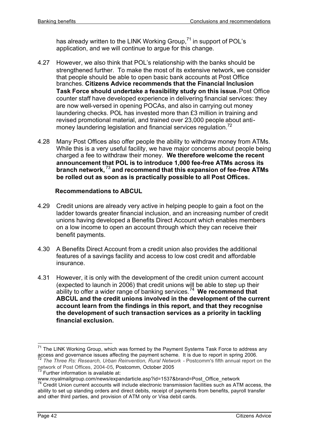has already written to the LINK Working Group, $71$  in support of POL's application, and we will continue to argue for this change.

- 4.27 However, we also think that POL's relationship with the banks should be strengthened further. To make the most of its extensive network, we consider that people should be able to open basic bank accounts at Post Office branches. **Citizens Advice recommends that the Financial Inclusion Task Force should undertake a feasibility study on this issue.**Post Office counter staff have developed experience in delivering financial services: they are now well-versed in opening POCAs, and also in carrying out money laundering checks. POL has invested more than £3 million in training and revised promotional material, and trained over 23,000 people about antimoney laundering legislation and financial services regulation.<sup>72</sup>
- 4.28 Many Post Offices also offer people the ability to withdraw money from ATMs. While this is a very useful facility, we have major concerns about people being charged a fee to withdraw their money. **We therefore welcome the recent announcement that POL is to introduce 1,000 fee-free ATMs across its branch network,** <sup>73</sup> **and recommend that this expansion of fee-free ATMs be rolled out as soon as is practically possible to all Post Offices.**

# **Recommendations to ABCUL**

- 4.29 Credit unions are already very active in helping people to gain a foot on the ladder towards greater financial inclusion, and an increasing number of credit unions having developed a Benefits Direct Account which enables members on a low income to open an account through which they can receive their benefit payments.
- 4.30 A Benefits Direct Account from a credit union also provides the additional features of a savings facility and access to low cost credit and affordable insurance.
- 4.31 However, it is only with the development of the credit union current account (expected to launch in 2006) that credit unions will be able to step up their ability to offer a wider range of banking services.<sup>74</sup> We recommend that **ABCUL and the credit unions involved in the development of the current account learn from the findings in this report, and that they recognise the development of such transaction services as a priority in tackling financial exclusion.**

 $71$  The LINK Working Group, which was formed by the Payment Systems Task Force to address any access and governance issues affecting the payment scheme. It is due to report in spring 2006.

<sup>72</sup> *The Three Rs: Research, Urban Reinvention, Rural Network* - Postcomm's fifth annual report on the network of Post Offices, 2004-05, Postcomm, October 2005

 $73$  Further information is available at:

www.royalmailgroup.com/news/expandarticle.asp?id=1537&brand=Post\_Office\_network

<sup>&</sup>lt;sup>74</sup> Credit Union current accounts will include electronic transmission facilities such as ATM access, the ability to set up standing orders and direct debits, receipt of payments from benefits, payroll transfer and other third parties, and provision of ATM only or Visa debit cards.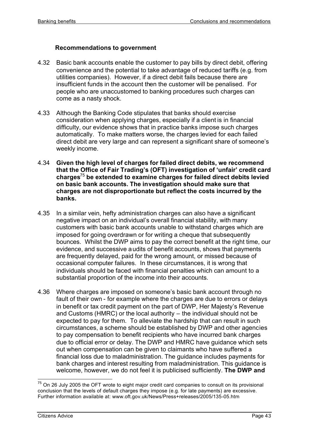#### **Recommendations to government**

- 4.32 Basic bank accounts enable the customer to pay bills by direct debit, offering convenience and the potential to take advantage of reduced tariffs (e.g. from utilities companies). However, if a direct debit fails because there are insufficient funds in the account then the customer will be penalised. For people who are unaccustomed to banking procedures such charges can come as a nasty shock.
- 4.33 Although the Banking Code stipulates that banks should exercise consideration when applying charges, especially if a client is in financial difficulty, our evidence shows that in practice banks impose such charges automatically. To make matters worse, the charges levied for each failed direct debit are very large and can represent a significant share of someone's weekly income.
- 4.34 **Given the high level of charges for failed direct debits, we recommend that the Office of Fair Trading's (OFT) investigation of 'unfair' credit card charges**<sup>75</sup> **be extended to examine charges for failed direct debits levied on basic bank accounts. The investigation should make sure that charges are not disproportionate but reflect the costs incurred by the banks.**
- 4.35 In a similar vein, hefty administration charges can also have a significant negative impact on an individual's overall financial stability, with many customers with basic bank accounts unable to withstand charges which are imposed for going overdrawn or for writing a cheque that subsequently bounces. Whilst the DWP aims to pay the correct benefit at the right time, our evidence, and successive audits of benefit accounts, shows that payments are frequently delayed, paid for the wrong amount, or missed because of occasional computer failures. In these circumstances, it is wrong that individuals should be faced with financial penalties which can amount to a substantial proportion of the income into their accounts.
- 4.36 Where charges are imposed on someone's basic bank account through no fault of their own - for example where the charges are due to errors or delays in benefit or tax credit payment on the part of DWP, Her Majesty's Revenue and Customs (HMRC) or the local authority – the individual should not be expected to pay for them. To alleviate the hardship that can result in such circumstances, a scheme should be established by DWP and other agencies to pay compensation to benefit recipients who have incurred bank charges due to official error or delay. The DWP and HMRC have guidance which sets out when compensation can be given to claimants who have suffered a financial loss due to maladministration. The guidance includes payments for bank charges and interest resulting from maladministration. This guidance is welcome, however, we do not feel it is publicised sufficiently. **The DWP and**

j  $75$  On 26 July 2005 the OFT wrote to eight major credit card companies to consult on its provisional conclusion that the levels of default charges they impose (e.g. for late payments) are excessive. Further information available at: www.oft.gov.uk/News/Press+releases/2005/135-05.htm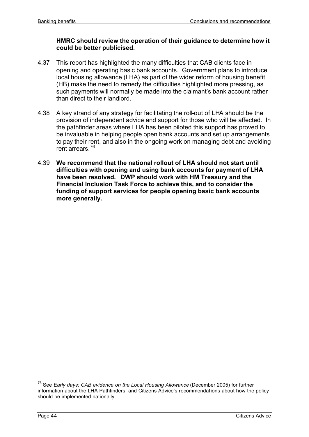#### **HMRC should review the operation of their guidance to determine how it could be better publicised.**

- 4.37 This report has highlighted the many difficulties that CAB clients face in opening and operating basic bank accounts. Government plans to introduce local housing allowance (LHA) as part of the wider reform of housing benefit (HB) make the need to remedy the difficulties highlighted more pressing, as such payments will normally be made into the claimant's bank account rather than direct to their landlord.
- 4.38 A key strand of any strategy for facilitating the roll-out of LHA should be the provision of independent advice and support for those who will be affected. In the pathfinder areas where LHA has been piloted this support has proved to be invaluable in helping people open bank accounts and set up arrangements to pay their rent, and also in the ongoing work on managing debt and avoiding rent arrears.<sup>76</sup>
- 4.39 **We recommend that the national rollout of LHA should not start until difficulties with opening and using bank accounts for payment of LHA have been resolved. DWP should work with HM Treasury and the Financial Inclusion Task Force to achieve this, and to consider the funding of support services for people opening basic bank accounts more generally.**

j <sup>76</sup> See *Early days: CAB evidence on the Local Housing Allowance* (December 2005) for further information about the LHA Pathfinders, and Citizens Advice's recommendations about how the policy should be implemented nationally.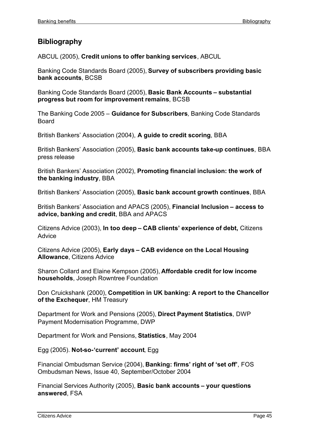# **Bibliography**

ABCUL (2005), **Credit unions to offer banking services**, ABCUL

Banking Code Standards Board (2005), **Survey of subscribers providing basic bank accounts**, BCSB

Banking Code Standards Board (2005), **Basic Bank Accounts – substantial progress but room for improvement remains**, BCSB

The Banking Code 2005 *–* **Guidance for Subscribers***,* Banking Code Standards **Board** 

British Bankers' Association (2004), **A guide to credit scoring**, BBA

British Bankers' Association (2005), **Basic bank accounts take-up continues**, BBA press release

British Bankers' Association (2002), **Promoting financial inclusion: the work of the banking industry**, BBA

British Bankers' Association (2005), **Basic bank account growth continues**, BBA

British Bankers' Association and APACS (2005), **Financial Inclusion – access to advice, banking and credit**, BBA and APACS

Citizens Advice (2003), **In too deep – CAB clients' experience of debt,** Citizens Advice

Citizens Advice (2005), **Early days – CAB evidence on the Local Housing Allowance**, Citizens Advice

Sharon Collard and Elaine Kempson (2005), **Affordable credit for low income households**, Joseph Rowntree Foundation

Don Cruickshank (2000), **Competition in UK banking: A report to the Chancellor of the Exchequer**, HM Treasury

Department for Work and Pensions (2005), **Direct Payment Statistics**, DWP Payment Modernisation Programme, DWP

Department for Work and Pensions, **Statistics**, May 2004

Egg (2005). **Not-so-'current' account**, Egg

Financial Ombudsman Service (2004), **Banking: firms' right of 'set off'**, FOS Ombudsman News, Issue 40, September/October 2004

Financial Services Authority (2005), **Basic bank accounts – your questions answered**, FSA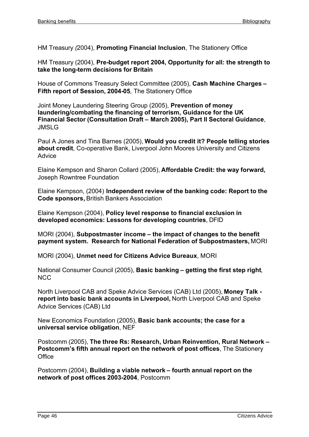HM Treasury *(*2004), **Promoting Financial Inclusion**, The Stationery Office

HM Treasury (2004), **Pre-budget report 2004, Opportunity for all: the strength to take the long-term decisions for Britain**

House of Commons Treasury Select Committee (2005), **Cash Machine Charges – Fifth report of Session, 2004-05***,* The Stationery Office

Joint Money Laundering Steering Group (2005), **Prevention of money laundering/combating the financing of terrorism, Guidance for the UK Financial Sector (Consultation Draft – March 2005), Part II Sectoral Guidance**, JMSLG

Paul A Jones and Tina Barnes (2005), **Would you credit it? People telling stories about credit**, Co-operative Bank, Liverpool John Moores University and Citizens **Advice** 

Elaine Kempson and Sharon Collard (2005), **Affordable Credit: the way forward,** Joseph Rowntree Foundation

Elaine Kempson, (2004) **Independent review of the banking code: Report to the Code sponsors,** British Bankers Association

Elaine Kempson (2004), **Policy level response to financial exclusion in developed economics: Lessons for developing countries**, DFID

MORI (2004), **Subpostmaster income – the impact of changes to the benefit payment system. Research for National Federation of Subpostmasters,** MORI

MORI (2004), **Unmet need for Citizens Advice Bureaux**, MORI

National Consumer Council (2005), **Basic banking – getting the first step right**, NCC

North Liverpool CAB and Speke Advice Services (CAB) Ltd (2005), **Money Talk report into basic bank accounts in Liverpool,** North Liverpool CAB and Speke Advice Services (CAB) Ltd

New Economics Foundation (2005), **Basic bank accounts; the case for a universal service obligation**, NEF

Postcomm (2005), **The three Rs: Research, Urban Reinvention, Rural Network – Postcomm's fifth annual report on the network of post offices**, The Stationery Office

Postcomm (2004), **Building a viable network – fourth annual report on the network of post offices 2003-2004**, Postcomm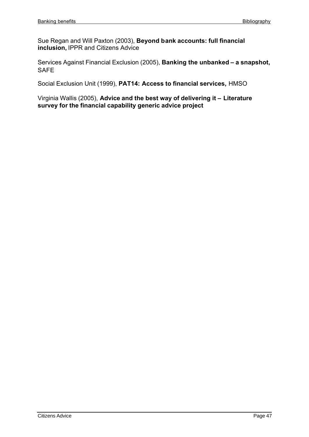Sue Regan and Will Paxton (2003), **Beyond bank accounts: full financial inclusion,** IPPR and Citizens Advice

Services Against Financial Exclusion (2005), **Banking the unbanked – a snapshot,** SAFE

Social Exclusion Unit (1999), **PAT14: Access to financial services,** HMSO

Virginia Wallis (2005), **Advice and the best way of delivering it – Literature survey for the financial capability generic advice project**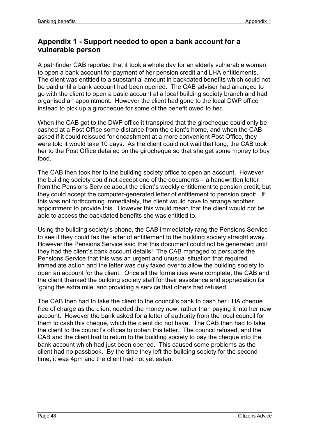# **Appendix 1 - Support needed to open a bank account for a vulnerable person**

A pathfinder CAB reported that it took a whole day for an elderly vulnerable woman to open a bank account for payment of her pension credit and LHA entitlements. The client was entitled to a substantial amount in backdated benefits which could not be paid until a bank account had been opened. The CAB adviser had arranged to go with the client to open a basic account at a local building society branch and had organised an appointment. However the client had gone to the local DWP office instead to pick up a girocheque for some of the benefit owed to her.

When the CAB got to the DWP office it transpired that the girocheque could only be cashed at a Post Office some distance from the client's home, and when the CAB asked if it could reissued for encashment at a more convenient Post Office, they were told it would take 10 days. As the client could not wait that long, the CAB took her to the Post Office detailed on the girocheque so that she get some money to buy food.

The CAB then took her to the building society office to open an account. However the building society could not accept one of the documents – a handwritten letter from the Pensions Service about the client's weekly entitlement to pension credit, but they could accept the computer-generated letter of entitlement to pension credit. If this was not forthcoming immediately, the client would have to arrange another appointment to provide this. However this would mean that the client would not be able to access the backdated benefits she was entitled to.

Using the building society's phone, the CAB immediately rang the Pensions Service to see if they could fax the letter of entitlement to the building society straight away. However the Pensions Service said that this document could not be generated until they had the client's bank account details! The CAB managed to persuade the Pensions Service that this was an urgent and unusual situation that required immediate action and the letter was duly faxed over to allow the building society to open an account for the client. Once all the formalities were complete, the CAB and the client thanked the building society staff for their assistance and appreciation for 'going the extra mile' and providing a service that others had refused.

The CAB then had to take the client to the council's bank to cash her LHA cheque free of charge as the client needed the money now, rather than paying it into her new account. However the bank asked for a letter of authority from the local council for them to cash this cheque, which the client did not have. The CAB then had to take the client to the council's offices to obtain this letter. The council refused, and the CAB and the client had to return to the building society to pay the cheque into the bank account which had just been opened. This caused some problems as the client had no passbook. By the time they left the building society for the second time, it was 4pm and the client had not yet eaten.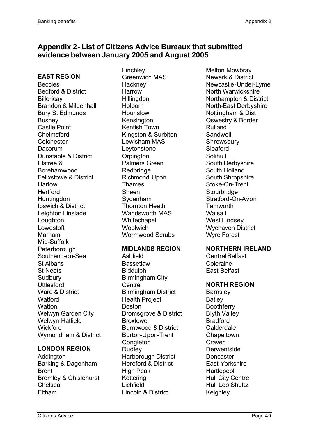# **Appendix 2- List of Citizens Advice Bureaux that submitted evidence between January 2005 and August 2005**

#### **EAST REGION**

Beccles Bedford & District **Billericav** Brandon & Mildenhall Bury St Edmunds **Bushey** Castle Point Chelmsford **Colchester** Dacorum Dunstable & District Elstree & Borehamwood Felixstowe & District **Harlow Hertford Huntingdon** Ipswich & District Leighton Linslade **Loughton** Lowestoft Marham Mid-Suffolk **Peterborough** Southend-on-Sea St Albans St Neots **Sudbury Uttlesford** Ware & District **Watford Watton** Welwyn Garden City Welwyn Hatfield **Wickford** Wymondham & District

#### **LONDON REGION**

**Addinaton** Barking & Dagenham **Brent** Bromley & Chislehurst Chelsea Eltham

**Finchley** Greenwich MAS **Hackney Harrow Hillingdon Holborn** Hounslow **Kensington** Kentish Town Kingston & Surbiton Lewisham MAS Leytonstone **Orpington** Palmers Green **Redbridge** Richmond Upon Thames Sheen Sydenham Thornton Heath Wandsworth MAS **Whitechapel Woolwich** Wormwood Scrubs

#### **MIDLANDS REGION**

Ashfield **Bassetlaw Biddulph** Birmingham City **Centre** Birmingham District Health Project Boston Bromsgrove & District **Broxtowe** Burntwood & District Burton-Upon-Trent **Congleton Dudley** Harborough District Hereford & District High Peak **Kettering** Lichfield Lincoln & District

Melton Mowbray Newark & District Newcastle-Under-Lyme North Warwickshire Northampton & District North-East Derbyshire Nottingham & Dist Oswestry & Border Rutland Sandwell **Shrewsbury** Sleaford Solihull South Derbyshire South Holland South Shropshire Stoke-On-Trent **Stourbridge** Stratford-On-Avon **Tamworth** Walsall West Lindsey Wychavon District Wyre Forest

#### **NORTHERN IRELAND**

Central Belfast Coleraine East Belfast

# **NORTH REGION**

**Barnsley Batley Boothferry** Blyth Valley Bradford Calderdale **Chapeltown Craven Derwentside Doncaster** East Yorkshire **Hartlepool** Hull City Centre Hull Leo Shultz **Keighley**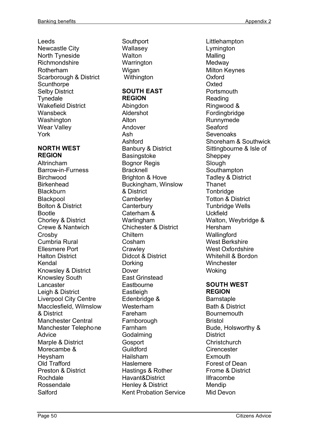Leeds Newcastle City North Tyneside Richmondshire Rotherham Scarborough & District **Scunthorpe** Selby District **Tynedale** Wakefield District **Wansbeck Washington** Wear Valley York

#### **NORTH WEST REGION**

Altrincham Barrow-in-Furness **Birchwood Birkenhead Blackburn** Blackpool Bolton & District Bootle Chorley & District Crewe & Nantwich **Crosby** Cumbria Rural Ellesmere Port Halton District Kendal Knowsley & District Knowsley South Lancaster Leigh & District Liverpool City Centre Macclesfield, Wilmslow & District Manchester Central Manchester Telephone Advice Marple & District Morecambe & Heysham Old Trafford Preston & District Rochdale Rossendale Salford

**Southport** Wallasey **Walton Warrington** Wigan **Withington SOUTH EAST REGION** Abingdon Aldershot Alton Andover Ash Ashford Banbury & District **Basingstoke** Bognor Regis **Bracknell** Brighton & Hove Buckingham, Winslow & District **Camberley Canterbury** Caterham & Warlingham Chichester & District Chiltern Cosham **Crawley** Didcot & District Dorking Dover East Grinstead **Eastbourne Eastleigh** Edenbridge & Westerham Fareham **Farnborough** Farnham **Godalming Gosport Guildford** Hailsham **Haslemere** Hastings & Rother Havant&District Henley & District Kent Probation Service Littlehampton Lymington Malling **Medway** Milton Keynes **Oxford Oxted Portsmouth** Reading Ringwood & Fordingbridge Runnymede Seaford Sevenoaks Shoreham & Southwick Sittingbourne & Isle of **Sheppey Slough** Southampton Tadley & District **Thanet Tonbridge** Totton & District Tunbridge Wells Uckfield Walton, Weybridge & Hersham **Wallingford** West Berkshire West Oxfordshire Whitehill & Bordon **Winchester Woking SOUTH WEST REGION Barnstaple** Bath & District **Bournemouth** Bristol Bude, Holsworthy & **District Christchurch Cirencester Exmouth** Forest of Dean Frome & District Ilfracombe Mendip

Mid Devon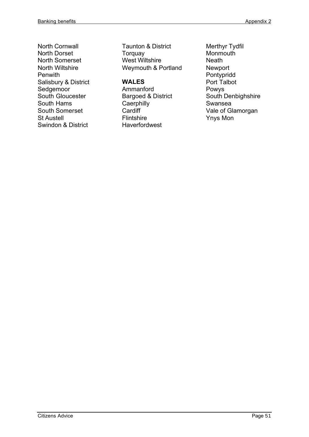North Cornwall North Dorset North Somerset North Wiltshire Penwith Salisbury & District Sedgemoor South Gloucester South Hams South Somerset St Austell Swindon & District

Taunton & District Torquay West Wiltshire Weymouth & Portland

# **WALES**

- Ammanford Bargoed & District **Caerphilly Cardiff Flintshire Haverfordwest**
- Merthyr Tydfil **Monmouth Neath** Newport Pontypridd Port Talbot Powys South Denbighshire Swansea Vale of Glamorgan Ynys Mon